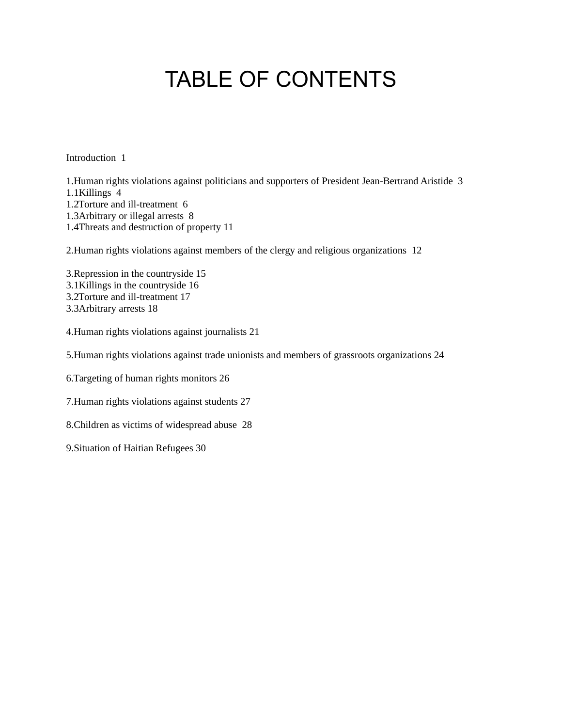# TABLE OF CONTENTS

Introduction 1

1.Human rights violations against politicians and supporters of President Jean-Bertrand Aristide 3 1.1Killings 4 1.2Torture and ill-treatment 6 1.3Arbitrary or illegal arrests 8 1.4Threats and destruction of property 11

2.Human rights violations against members of the clergy and religious organizations 12

3.Repression in the countryside 15 3.1Killings in the countryside 16 3.2Torture and ill-treatment 17 3.3Arbitrary arrests 18

4.Human rights violations against journalists 21

5.Human rights violations against trade unionists and members of grassroots organizations 24

6.Targeting of human rights monitors 26

7.Human rights violations against students 27

8.Children as victims of widespread abuse 28

9.Situation of Haitian Refugees 30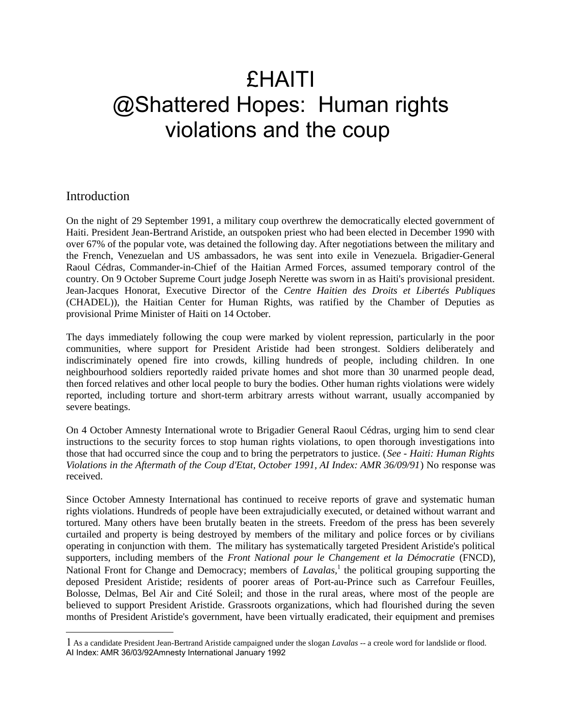# £HAITI @Shattered Hopes: Human rights violations and the coup

## Introduction

On the night of 29 September 1991, a military coup overthrew the democratically elected government of Haiti. President Jean-Bertrand Aristide, an outspoken priest who had been elected in December 1990 with over 67% of the popular vote, was detained the following day. After negotiations between the military and the French, Venezuelan and US ambassadors, he was sent into exile in Venezuela. Brigadier-General Raoul Cédras, Commander-in-Chief of the Haitian Armed Forces, assumed temporary control of the country. On 9 October Supreme Court judge Joseph Nerette was sworn in as Haiti's provisional president. Jean-Jacques Honorat, Executive Director of the *Centre Haitien des Droits et Libertés Publiques* (CHADEL)), the Haitian Center for Human Rights, was ratified by the Chamber of Deputies as provisional Prime Minister of Haiti on 14 October.

The days immediately following the coup were marked by violent repression, particularly in the poor communities, where support for President Aristide had been strongest. Soldiers deliberately and indiscriminately opened fire into crowds, killing hundreds of people, including children. In one neighbourhood soldiers reportedly raided private homes and shot more than 30 unarmed people dead, then forced relatives and other local people to bury the bodies. Other human rights violations were widely reported, including torture and short-term arbitrary arrests without warrant, usually accompanied by severe beatings.

On 4 October Amnesty International wrote to Brigadier General Raoul Cédras, urging him to send clear instructions to the security forces to stop human rights violations, to open thorough investigations into those that had occurred since the coup and to bring the perpetrators to justice. (*See - Haiti: Human Rights Violations in the Aftermath of the Coup d'Etat, October 1991, AI Index: AMR 36/09/91*) No response was received.

Since October Amnesty International has continued to receive reports of grave and systematic human rights violations. Hundreds of people have been extrajudicially executed, or detained without warrant and tortured. Many others have been brutally beaten in the streets. Freedom of the press has been severely curtailed and property is being destroyed by members of the military and police forces or by civilians operating in conjunction with them. The military has systematically targeted President Aristide's political supporters, including members of the *Front National pour le Changement et la Démocratie* (FNCD), National Front for Change and Democracy; members of *Lavalas*,<sup>[1](#page-1-0)</sup> the political grouping supporting the deposed President Aristide; residents of poorer areas of Port-au-Prince such as Carrefour Feuilles, Bolosse, Delmas, Bel Air and Cité Soleil; and those in the rural areas, where most of the people are believed to support President Aristide. Grassroots organizations, which had flourished during the seven months of President Aristide's government, have been virtually eradicated, their equipment and premises

<span id="page-1-0"></span><sup>1</sup> As a candidate President Jean-Bertrand Aristide campaigned under the slogan *Lavalas* -- a creole word for landslide or flood. AI Index: AMR 36/03/92Amnesty International January 1992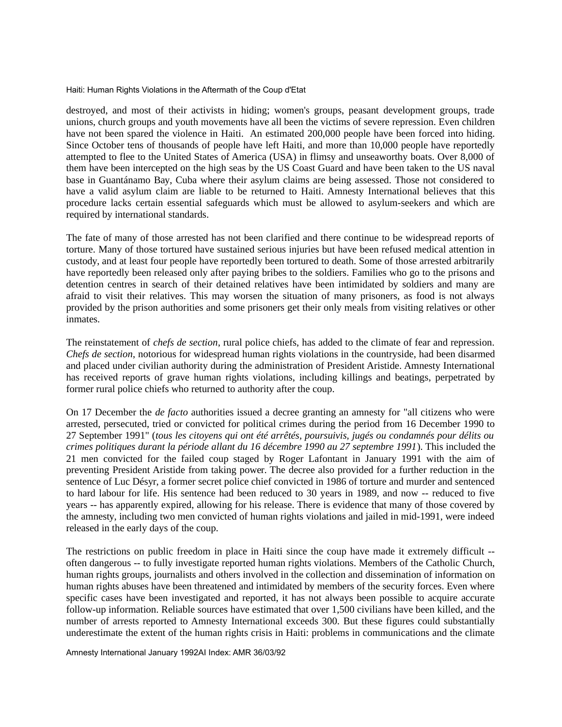destroyed, and most of their activists in hiding; women's groups, peasant development groups, trade unions, church groups and youth movements have all been the victims of severe repression. Even children have not been spared the violence in Haiti. An estimated 200,000 people have been forced into hiding. Since October tens of thousands of people have left Haiti, and more than 10,000 people have reportedly attempted to flee to the United States of America (USA) in flimsy and unseaworthy boats. Over 8,000 of them have been intercepted on the high seas by the US Coast Guard and have been taken to the US naval base in Guantánamo Bay, Cuba where their asylum claims are being assessed. Those not considered to have a valid asylum claim are liable to be returned to Haiti. Amnesty International believes that this procedure lacks certain essential safeguards which must be allowed to asylum-seekers and which are required by international standards.

The fate of many of those arrested has not been clarified and there continue to be widespread reports of torture. Many of those tortured have sustained serious injuries but have been refused medical attention in custody, and at least four people have reportedly been tortured to death. Some of those arrested arbitrarily have reportedly been released only after paying bribes to the soldiers. Families who go to the prisons and detention centres in search of their detained relatives have been intimidated by soldiers and many are afraid to visit their relatives. This may worsen the situation of many prisoners, as food is not always provided by the prison authorities and some prisoners get their only meals from visiting relatives or other inmates.

The reinstatement of *chefs de section*, rural police chiefs, has added to the climate of fear and repression. *Chefs de section*, notorious for widespread human rights violations in the countryside, had been disarmed and placed under civilian authority during the administration of President Aristide. Amnesty International has received reports of grave human rights violations, including killings and beatings, perpetrated by former rural police chiefs who returned to authority after the coup.

On 17 December the *de facto* authorities issued a decree granting an amnesty for "all citizens who were arrested, persecuted, tried or convicted for political crimes during the period from 16 December 1990 to 27 September 1991" (*tous les citoyens qui ont été arrêtés, poursuivis, jugés ou condamnés pour délits ou crimes politiques durant la période allant du 16 décembre 1990 au 27 septembre 1991*). This included the 21 men convicted for the failed coup staged by Roger Lafontant in January 1991 with the aim of preventing President Aristide from taking power. The decree also provided for a further reduction in the sentence of Luc Désyr, a former secret police chief convicted in 1986 of torture and murder and sentenced to hard labour for life. His sentence had been reduced to 30 years in 1989, and now -- reduced to five years -- has apparently expired, allowing for his release. There is evidence that many of those covered by the amnesty, including two men convicted of human rights violations and jailed in mid-1991, were indeed released in the early days of the coup.

The restrictions on public freedom in place in Haiti since the coup have made it extremely difficult - often dangerous -- to fully investigate reported human rights violations. Members of the Catholic Church, human rights groups, journalists and others involved in the collection and dissemination of information on human rights abuses have been threatened and intimidated by members of the security forces. Even where specific cases have been investigated and reported, it has not always been possible to acquire accurate follow-up information. Reliable sources have estimated that over 1,500 civilians have been killed, and the number of arrests reported to Amnesty International exceeds 300. But these figures could substantially underestimate the extent of the human rights crisis in Haiti: problems in communications and the climate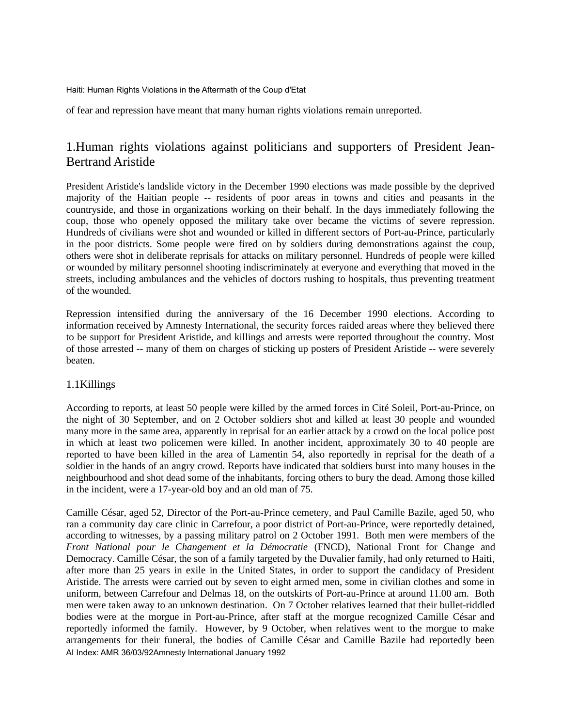of fear and repression have meant that many human rights violations remain unreported.

# 1.Human rights violations against politicians and supporters of President Jean-Bertrand Aristide

President Aristide's landslide victory in the December 1990 elections was made possible by the deprived majority of the Haitian people -- residents of poor areas in towns and cities and peasants in the countryside, and those in organizations working on their behalf. In the days immediately following the coup, those who openely opposed the military take over became the victims of severe repression. Hundreds of civilians were shot and wounded or killed in different sectors of Port-au-Prince, particularly in the poor districts. Some people were fired on by soldiers during demonstrations against the coup, others were shot in deliberate reprisals for attacks on military personnel. Hundreds of people were killed or wounded by military personnel shooting indiscriminately at everyone and everything that moved in the streets, including ambulances and the vehicles of doctors rushing to hospitals, thus preventing treatment of the wounded.

Repression intensified during the anniversary of the 16 December 1990 elections. According to information received by Amnesty International, the security forces raided areas where they believed there to be support for President Aristide, and killings and arrests were reported throughout the country. Most of those arrested -- many of them on charges of sticking up posters of President Aristide -- were severely beaten.

## 1.1Killings

According to reports, at least 50 people were killed by the armed forces in Cité Soleil, Port-au-Prince, on the night of 30 September, and on 2 October soldiers shot and killed at least 30 people and wounded many more in the same area, apparently in reprisal for an earlier attack by a crowd on the local police post in which at least two policemen were killed. In another incident, approximately 30 to 40 people are reported to have been killed in the area of Lamentin 54, also reportedly in reprisal for the death of a soldier in the hands of an angry crowd. Reports have indicated that soldiers burst into many houses in the neighbourhood and shot dead some of the inhabitants, forcing others to bury the dead. Among those killed in the incident, were a 17-year-old boy and an old man of 75.

Camille César, aged 52, Director of the Port-au-Prince cemetery, and Paul Camille Bazile, aged 50, who ran a community day care clinic in Carrefour, a poor district of Port-au-Prince, were reportedly detained, according to witnesses, by a passing military patrol on 2 October 1991. Both men were members of the *Front National pour le Changement et la Démocratie* (FNCD), National Front for Change and Democracy. Camille César, the son of a family targeted by the Duvalier family, had only returned to Haiti, after more than 25 years in exile in the United States, in order to support the candidacy of President Aristide. The arrests were carried out by seven to eight armed men, some in civilian clothes and some in uniform, between Carrefour and Delmas 18, on the outskirts of Port-au-Prince at around 11.00 am. Both men were taken away to an unknown destination. On 7 October relatives learned that their bullet-riddled bodies were at the morgue in Port-au-Prince, after staff at the morgue recognized Camille César and reportedly informed the family. However, by 9 October, when relatives went to the morgue to make arrangements for their funeral, the bodies of Camille César and Camille Bazile had reportedly been AI Index: AMR 36/03/92Amnesty International January 1992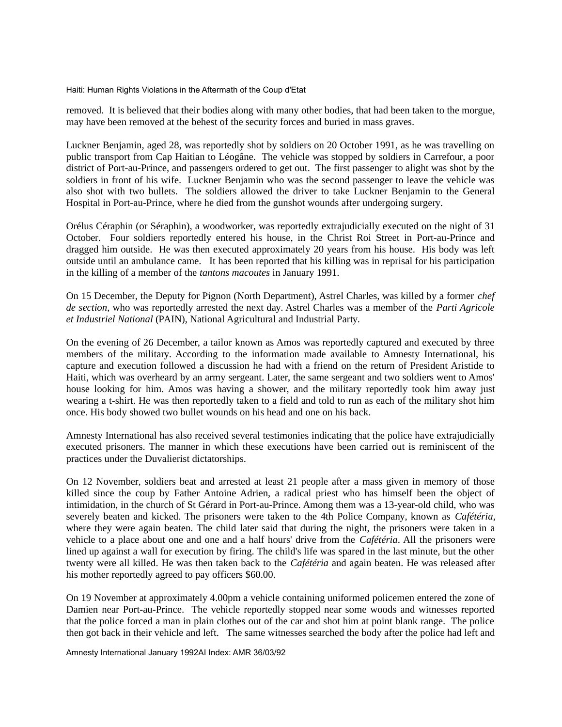removed. It is believed that their bodies along with many other bodies, that had been taken to the morgue, may have been removed at the behest of the security forces and buried in mass graves.

Luckner Benjamin, aged 28, was reportedly shot by soldiers on 20 October 1991, as he was travelling on public transport from Cap Haitian to Léogâne. The vehicle was stopped by soldiers in Carrefour, a poor district of Port-au-Prince, and passengers ordered to get out. The first passenger to alight was shot by the soldiers in front of his wife. Luckner Benjamin who was the second passenger to leave the vehicle was also shot with two bullets. The soldiers allowed the driver to take Luckner Benjamin to the General Hospital in Port-au-Prince, where he died from the gunshot wounds after undergoing surgery.

Orélus Céraphin (or Séraphin), a woodworker, was reportedly extrajudicially executed on the night of 31 October. Four soldiers reportedly entered his house, in the Christ Roi Street in Port-au-Prince and dragged him outside. He was then executed approximately 20 years from his house. His body was left outside until an ambulance came. It has been reported that his killing was in reprisal for his participation in the killing of a member of the *tantons macoutes* in January 1991.

On 15 December, the Deputy for Pignon (North Department), Astrel Charles, was killed by a former *chef de section*, who was reportedly arrested the next day. Astrel Charles was a member of the *Parti Agricole et Industriel National* (PAIN), National Agricultural and Industrial Party.

On the evening of 26 December, a tailor known as Amos was reportedly captured and executed by three members of the military. According to the information made available to Amnesty International, his capture and execution followed a discussion he had with a friend on the return of President Aristide to Haiti, which was overheard by an army sergeant. Later, the same sergeant and two soldiers went to Amos' house looking for him. Amos was having a shower, and the military reportedly took him away just wearing a t-shirt. He was then reportedly taken to a field and told to run as each of the military shot him once. His body showed two bullet wounds on his head and one on his back.

Amnesty International has also received several testimonies indicating that the police have extrajudicially executed prisoners. The manner in which these executions have been carried out is reminiscent of the practices under the Duvalierist dictatorships.

On 12 November, soldiers beat and arrested at least 21 people after a mass given in memory of those killed since the coup by Father Antoine Adrien, a radical priest who has himself been the object of intimidation, in the church of St Gérard in Port-au-Prince. Among them was a 13-year-old child, who was severely beaten and kicked. The prisoners were taken to the 4th Police Company, known as *Cafétéria*, where they were again beaten. The child later said that during the night, the prisoners were taken in a vehicle to a place about one and one and a half hours' drive from the *Cafétéria*. All the prisoners were lined up against a wall for execution by firing. The child's life was spared in the last minute, but the other twenty were all killed. He was then taken back to the *Cafétéria* and again beaten. He was released after his mother reportedly agreed to pay officers \$60.00.

On 19 November at approximately 4.00pm a vehicle containing uniformed policemen entered the zone of Damien near Port-au-Prince. The vehicle reportedly stopped near some woods and witnesses reported that the police forced a man in plain clothes out of the car and shot him at point blank range. The police then got back in their vehicle and left. The same witnesses searched the body after the police had left and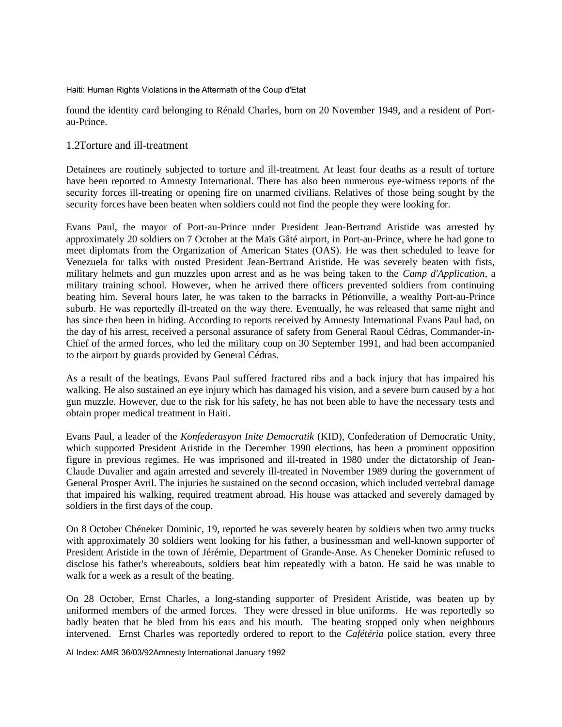found the identity card belonging to Rénald Charles, born on 20 November 1949, and a resident of Portau-Prince.

#### 1.2Torture and ill-treatment

Detainees are routinely subjected to torture and ill-treatment. At least four deaths as a result of torture have been reported to Amnesty International. There has also been numerous eye-witness reports of the security forces ill-treating or opening fire on unarmed civilians. Relatives of those being sought by the security forces have been beaten when soldiers could not find the people they were looking for.

Evans Paul, the mayor of Port-au-Prince under President Jean-Bertrand Aristide was arrested by approximately 20 soldiers on 7 October at the Maïs Gâté airport, in Port-au-Prince, where he had gone to meet diplomats from the Organization of American States (OAS). He was then scheduled to leave for Venezuela for talks with ousted President Jean-Bertrand Aristide. He was severely beaten with fists, military helmets and gun muzzles upon arrest and as he was being taken to the *Camp d'Application*, a military training school. However, when he arrived there officers prevented soldiers from continuing beating him. Several hours later, he was taken to the barracks in Pétionville, a wealthy Port-au-Prince suburb. He was reportedly ill-treated on the way there. Eventually, he was released that same night and has since then been in hiding. According to reports received by Amnesty International Evans Paul had, on the day of his arrest, received a personal assurance of safety from General Raoul Cédras, Commander-in-Chief of the armed forces, who led the military coup on 30 September 1991, and had been accompanied to the airport by guards provided by General Cédras.

As a result of the beatings, Evans Paul suffered fractured ribs and a back injury that has impaired his walking. He also sustained an eye injury which has damaged his vision, and a severe burn caused by a hot gun muzzle. However, due to the risk for his safety, he has not been able to have the necessary tests and obtain proper medical treatment in Haiti.

Evans Paul, a leader of the *Konfederasyon Inite Democratik* (KID), Confederation of Democratic Unity, which supported President Aristide in the December 1990 elections, has been a prominent opposition figure in previous regimes. He was imprisoned and ill-treated in 1980 under the dictatorship of Jean-Claude Duvalier and again arrested and severely ill-treated in November 1989 during the government of General Prosper Avril. The injuries he sustained on the second occasion, which included vertebral damage that impaired his walking, required treatment abroad. His house was attacked and severely damaged by soldiers in the first days of the coup.

On 8 October Chéneker Dominic, 19, reported he was severely beaten by soldiers when two army trucks with approximately 30 soldiers went looking for his father, a businessman and well-known supporter of President Aristide in the town of Jérémie, Department of Grande-Anse. As Cheneker Dominic refused to disclose his father's whereabouts, soldiers beat him repeatedly with a baton. He said he was unable to walk for a week as a result of the beating.

On 28 October, Ernst Charles, a long-standing supporter of President Aristide, was beaten up by uniformed members of the armed forces. They were dressed in blue uniforms. He was reportedly so badly beaten that he bled from his ears and his mouth. The beating stopped only when neighbours intervened. Ernst Charles was reportedly ordered to report to the *Cafétéria* police station, every three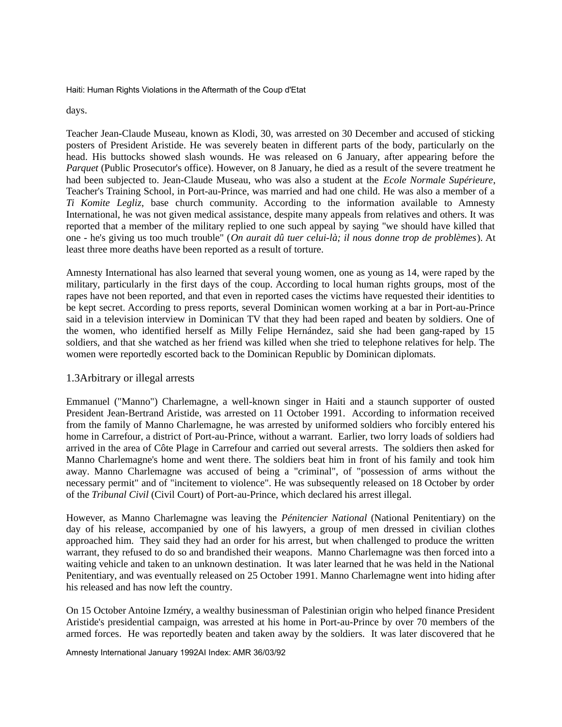days.

Teacher Jean-Claude Museau, known as Klodi, 30, was arrested on 30 December and accused of sticking posters of President Aristide. He was severely beaten in different parts of the body, particularly on the head. His buttocks showed slash wounds. He was released on 6 January, after appearing before the *Parquet* (Public Prosecutor's office). However, on 8 January, he died as a result of the severe treatment he had been subjected to. Jean-Claude Museau, who was also a student at the *Ecole Normale Supérieure*, Teacher's Training School, in Port-au-Prince, was married and had one child. He was also a member of a *Ti Komite Legliz*, base church community. According to the information available to Amnesty International, he was not given medical assistance, despite many appeals from relatives and others. It was reported that a member of the military replied to one such appeal by saying "we should have killed that one - he's giving us too much trouble" (*On aurait dû tuer celui-là; il nous donne trop de problèmes*). At least three more deaths have been reported as a result of torture.

Amnesty International has also learned that several young women, one as young as 14, were raped by the military, particularly in the first days of the coup. According to local human rights groups, most of the rapes have not been reported, and that even in reported cases the victims have requested their identities to be kept secret. According to press reports, several Dominican women working at a bar in Port-au-Prince said in a television interview in Dominican TV that they had been raped and beaten by soldiers. One of the women, who identified herself as Milly Felipe Hernández, said she had been gang-raped by 15 soldiers, and that she watched as her friend was killed when she tried to telephone relatives for help. The women were reportedly escorted back to the Dominican Republic by Dominican diplomats.

#### 1.3Arbitrary or illegal arrests

Emmanuel ("Manno") Charlemagne, a well-known singer in Haiti and a staunch supporter of ousted President Jean-Bertrand Aristide, was arrested on 11 October 1991. According to information received from the family of Manno Charlemagne, he was arrested by uniformed soldiers who forcibly entered his home in Carrefour, a district of Port-au-Prince, without a warrant. Earlier, two lorry loads of soldiers had arrived in the area of Côte Plage in Carrefour and carried out several arrests. The soldiers then asked for Manno Charlemagne's home and went there. The soldiers beat him in front of his family and took him away. Manno Charlemagne was accused of being a "criminal", of "possession of arms without the necessary permit" and of "incitement to violence". He was subsequently released on 18 October by order of the *Tribunal Civil* (Civil Court) of Port-au-Prince, which declared his arrest illegal.

However, as Manno Charlemagne was leaving the *Pénitencier National* (National Penitentiary) on the day of his release, accompanied by one of his lawyers, a group of men dressed in civilian clothes approached him. They said they had an order for his arrest, but when challenged to produce the written warrant, they refused to do so and brandished their weapons. Manno Charlemagne was then forced into a waiting vehicle and taken to an unknown destination. It was later learned that he was held in the National Penitentiary, and was eventually released on 25 October 1991. Manno Charlemagne went into hiding after his released and has now left the country.

On 15 October Antoine Izméry, a wealthy businessman of Palestinian origin who helped finance President Aristide's presidential campaign, was arrested at his home in Port-au-Prince by over 70 members of the armed forces. He was reportedly beaten and taken away by the soldiers. It was later discovered that he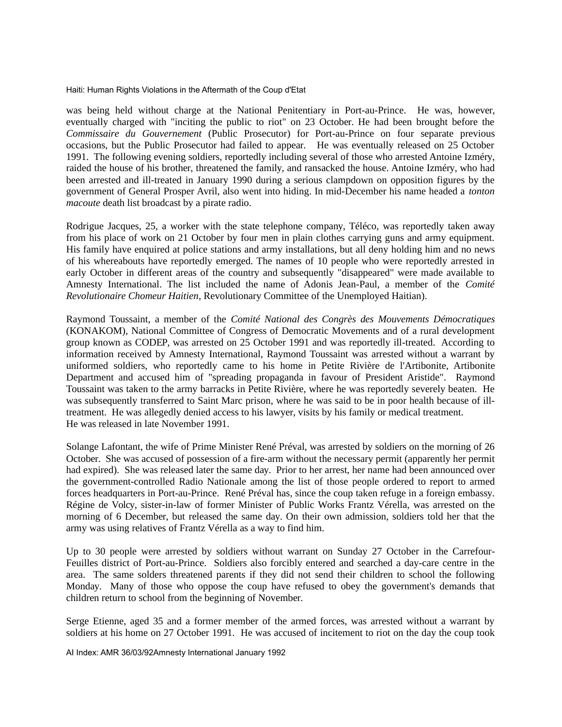was being held without charge at the National Penitentiary in Port-au-Prince. He was, however, eventually charged with "inciting the public to riot" on 23 October. He had been brought before the *Commissaire du Gouvernement* (Public Prosecutor) for Port-au-Prince on four separate previous occasions, but the Public Prosecutor had failed to appear. He was eventually released on 25 October 1991. The following evening soldiers, reportedly including several of those who arrested Antoine Izméry, raided the house of his brother, threatened the family, and ransacked the house. Antoine Izméry, who had been arrested and ill-treated in January 1990 during a serious clampdown on opposition figures by the government of General Prosper Avril, also went into hiding. In mid-December his name headed a *tonton macoute* death list broadcast by a pirate radio.

Rodrigue Jacques, 25, a worker with the state telephone company, Téléco, was reportedly taken away from his place of work on 21 October by four men in plain clothes carrying guns and army equipment. His family have enquired at police stations and army installations, but all deny holding him and no news of his whereabouts have reportedly emerged. The names of 10 people who were reportedly arrested in early October in different areas of the country and subsequently "disappeared" were made available to Amnesty International. The list included the name of Adonis Jean-Paul, a member of the *Comité Revolutionaire Chomeur Haitien*, Revolutionary Committee of the Unemployed Haitian).

Raymond Toussaint, a member of the *Comité National des Congrès des Mouvements Démocratiques* (KONAKOM), National Committee of Congress of Democratic Movements and of a rural development group known as CODEP, was arrested on 25 October 1991 and was reportedly ill-treated. According to information received by Amnesty International, Raymond Toussaint was arrested without a warrant by uniformed soldiers, who reportedly came to his home in Petite Rivière de l'Artibonite, Artibonite Department and accused him of "spreading propaganda in favour of President Aristide". Raymond Toussaint was taken to the army barracks in Petite Rivière, where he was reportedly severely beaten. He was subsequently transferred to Saint Marc prison, where he was said to be in poor health because of illtreatment. He was allegedly denied access to his lawyer, visits by his family or medical treatment. He was released in late November 1991.

Solange Lafontant, the wife of Prime Minister René Préval, was arrested by soldiers on the morning of 26 October. She was accused of possession of a fire-arm without the necessary permit (apparently her permit had expired). She was released later the same day. Prior to her arrest, her name had been announced over the government-controlled Radio Nationale among the list of those people ordered to report to armed forces headquarters in Port-au-Prince. René Préval has, since the coup taken refuge in a foreign embassy. Régine de Volcy, sister-in-law of former Minister of Public Works Frantz Vérella, was arrested on the morning of 6 December, but released the same day. On their own admission, soldiers told her that the army was using relatives of Frantz Vérella as a way to find him.

Up to 30 people were arrested by soldiers without warrant on Sunday 27 October in the Carrefour-Feuilles district of Port-au-Prince. Soldiers also forcibly entered and searched a day-care centre in the area. The same solders threatened parents if they did not send their children to school the following Monday. Many of those who oppose the coup have refused to obey the government's demands that children return to school from the beginning of November.

Serge Etienne, aged 35 and a former member of the armed forces, was arrested without a warrant by soldiers at his home on 27 October 1991. He was accused of incitement to riot on the day the coup took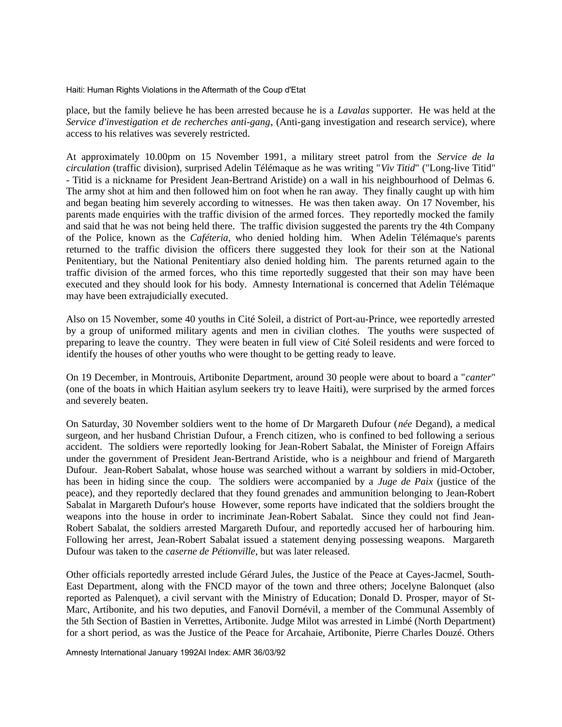place, but the family believe he has been arrested because he is a *Lavalas* supporter. He was held at the *Service d'investigation et de recherches anti-gang*, (Anti-gang investigation and research service), where access to his relatives was severely restricted.

At approximately 10.00pm on 15 November 1991, a military street patrol from the *Service de la circulation* (traffic division), surprised Adelin Télémaque as he was writing "*Viv Titid*" ("Long-live Titid" - Titid is a nickname for President Jean-Bertrand Aristide) on a wall in his neighbourhood of Delmas 6. The army shot at him and then followed him on foot when he ran away. They finally caught up with him and began beating him severely according to witnesses. He was then taken away. On 17 November, his parents made enquiries with the traffic division of the armed forces. They reportedly mocked the family and said that he was not being held there. The traffic division suggested the parents try the 4th Company of the Police, known as the *Caféteria*, who denied holding him. When Adelin Télémaque's parents returned to the traffic division the officers there suggested they look for their son at the National Penitentiary, but the National Penitentiary also denied holding him. The parents returned again to the traffic division of the armed forces, who this time reportedly suggested that their son may have been executed and they should look for his body. Amnesty International is concerned that Adelin Télémaque may have been extrajudicially executed.

Also on 15 November, some 40 youths in Cité Soleil, a district of Port-au-Prince, wee reportedly arrested by a group of uniformed military agents and men in civilian clothes. The youths were suspected of preparing to leave the country. They were beaten in full view of Cité Soleil residents and were forced to identify the houses of other youths who were thought to be getting ready to leave.

On 19 December, in Montrouis, Artibonite Department, around 30 people were about to board a "*canter*" (one of the boats in which Haitian asylum seekers try to leave Haiti), were surprised by the armed forces and severely beaten.

On Saturday, 30 November soldiers went to the home of Dr Margareth Dufour (*née* Degand), a medical surgeon, and her husband Christian Dufour, a French citizen, who is confined to bed following a serious accident. The soldiers were reportedly looking for Jean-Robert Sabalat, the Minister of Foreign Affairs under the government of President Jean-Bertrand Aristide, who is a neighbour and friend of Margareth Dufour. Jean-Robert Sabalat, whose house was searched without a warrant by soldiers in mid-October, has been in hiding since the coup. The soldiers were accompanied by a *Juge de Paix* (justice of the peace), and they reportedly declared that they found grenades and ammunition belonging to Jean-Robert Sabalat in Margareth Dufour's house However, some reports have indicated that the soldiers brought the weapons into the house in order to incriminate Jean-Robert Sabalat. Since they could not find Jean-Robert Sabalat, the soldiers arrested Margareth Dufour, and reportedly accused her of harbouring him. Following her arrest, Jean-Robert Sabalat issued a statement denying possessing weapons. Margareth Dufour was taken to the *caserne de Pétionville*, but was later released.

Other officials reportedly arrested include Gérard Jules, the Justice of the Peace at Cayes-Jacmel, South-East Department, along with the FNCD mayor of the town and three others; Jocelyne Balonquet (also reported as Palenquet), a civil servant with the Ministry of Education; Donald D. Prosper, mayor of St-Marc, Artibonite, and his two deputies, and Fanovil Dornévil, a member of the Communal Assembly of the 5th Section of Bastien in Verrettes, Artibonite. Judge Milot was arrested in Limbé (North Department) for a short period, as was the Justice of the Peace for Arcahaie, Artibonite, Pierre Charles Douzé. Others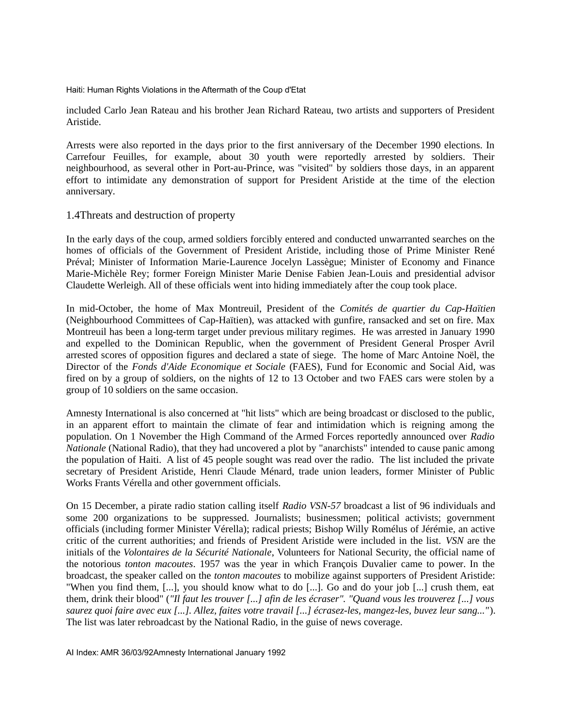included Carlo Jean Rateau and his brother Jean Richard Rateau, two artists and supporters of President Aristide.

Arrests were also reported in the days prior to the first anniversary of the December 1990 elections. In Carrefour Feuilles, for example, about 30 youth were reportedly arrested by soldiers. Their neighbourhood, as several other in Port-au-Prince, was "visited" by soldiers those days, in an apparent effort to intimidate any demonstration of support for President Aristide at the time of the election anniversary.

#### 1.4Threats and destruction of property

In the early days of the coup, armed soldiers forcibly entered and conducted unwarranted searches on the homes of officials of the Government of President Aristide, including those of Prime Minister René Préval; Minister of Information Marie-Laurence Jocelyn Lassègue; Minister of Economy and Finance Marie-Michèle Rey; former Foreign Minister Marie Denise Fabien Jean-Louis and presidential advisor Claudette Werleigh. All of these officials went into hiding immediately after the coup took place.

In mid-October, the home of Max Montreuil, President of the *Comités de quartier du Cap-Haïtien* (Neighbourhood Committees of Cap-Haïtien), was attacked with gunfire, ransacked and set on fire. Max Montreuil has been a long-term target under previous military regimes. He was arrested in January 1990 and expelled to the Dominican Republic, when the government of President General Prosper Avril arrested scores of opposition figures and declared a state of siege. The home of Marc Antoine Noël, the Director of the *Fonds d'Aide Economique et Sociale* (FAES), Fund for Economic and Social Aid, was fired on by a group of soldiers, on the nights of 12 to 13 October and two FAES cars were stolen by a group of 10 soldiers on the same occasion.

Amnesty International is also concerned at "hit lists" which are being broadcast or disclosed to the public, in an apparent effort to maintain the climate of fear and intimidation which is reigning among the population. On 1 November the High Command of the Armed Forces reportedly announced over *Radio Nationale* (National Radio), that they had uncovered a plot by "anarchists" intended to cause panic among the population of Haiti. A list of 45 people sought was read over the radio. The list included the private secretary of President Aristide, Henri Claude Ménard, trade union leaders, former Minister of Public Works Frants Vérella and other government officials.

On 15 December, a pirate radio station calling itself *Radio VSN-57* broadcast a list of 96 individuals and some 200 organizations to be suppressed. Journalists; businessmen; political activists; government officials (including former Minister Vérella); radical priests; Bishop Willy Romélus of Jérémie, an active critic of the current authorities; and friends of President Aristide were included in the list. *VSN* are the initials of the *Volontaires de la Sécurité Nationale*, Volunteers for National Security, the official name of the notorious *tonton macoutes*. 1957 was the year in which François Duvalier came to power. In the broadcast, the speaker called on the *tonton macoutes* to mobilize against supporters of President Aristide: "When you find them, [...], you should know what to do [...]. Go and do your job [...] crush them, eat them, drink their blood" (*"Il faut les trouver [...] afin de les écraser". "Quand vous les trouverez [...] vous saurez quoi faire avec eux [...]. Allez, faites votre travail [...] écrasez-les, mangez-les, buvez leur sang..."*). The list was later rebroadcast by the National Radio, in the guise of news coverage.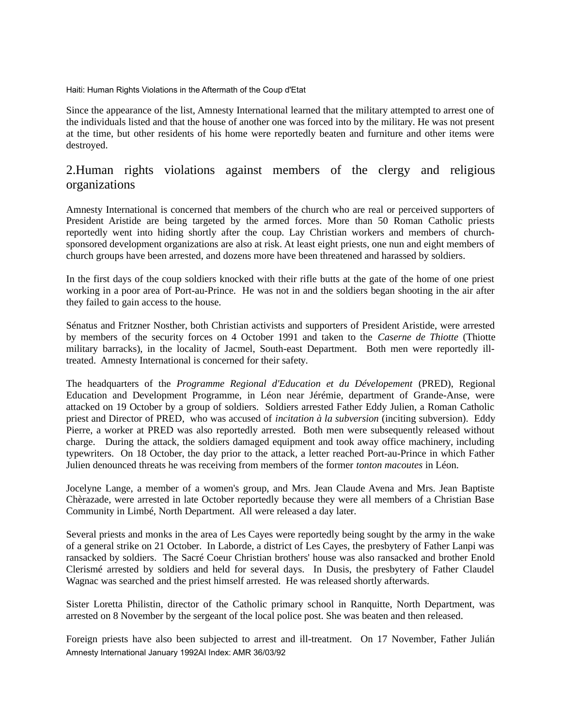Since the appearance of the list, Amnesty International learned that the military attempted to arrest one of the individuals listed and that the house of another one was forced into by the military. He was not present at the time, but other residents of his home were reportedly beaten and furniture and other items were destroyed.

# 2.Human rights violations against members of the clergy and religious organizations

Amnesty International is concerned that members of the church who are real or perceived supporters of President Aristide are being targeted by the armed forces. More than 50 Roman Catholic priests reportedly went into hiding shortly after the coup. Lay Christian workers and members of churchsponsored development organizations are also at risk. At least eight priests, one nun and eight members of church groups have been arrested, and dozens more have been threatened and harassed by soldiers.

In the first days of the coup soldiers knocked with their rifle butts at the gate of the home of one priest working in a poor area of Port-au-Prince. He was not in and the soldiers began shooting in the air after they failed to gain access to the house.

Sénatus and Fritzner Nosther, both Christian activists and supporters of President Aristide, were arrested by members of the security forces on 4 October 1991 and taken to the *Caserne de Thiotte* (Thiotte military barracks), in the locality of Jacmel, South-east Department. Both men were reportedly illtreated. Amnesty International is concerned for their safety.

The headquarters of the *Programme Regional d'Education et du Dévelopement* (PRED), Regional Education and Development Programme, in Léon near Jérémie, department of Grande-Anse, were attacked on 19 October by a group of soldiers. Soldiers arrested Father Eddy Julien, a Roman Catholic priest and Director of PRED, who was accused of *incitation à la subversion* (inciting subversion). Eddy Pierre, a worker at PRED was also reportedly arrested. Both men were subsequently released without charge. During the attack, the soldiers damaged equipment and took away office machinery, including typewriters. On 18 October, the day prior to the attack, a letter reached Port-au-Prince in which Father Julien denounced threats he was receiving from members of the former *tonton macoutes* in Léon.

Jocelyne Lange, a member of a women's group, and Mrs. Jean Claude Avena and Mrs. Jean Baptiste Chèrazade, were arrested in late October reportedly because they were all members of a Christian Base Community in Limbé, North Department. All were released a day later.

Several priests and monks in the area of Les Cayes were reportedly being sought by the army in the wake of a general strike on 21 October. In Laborde, a district of Les Cayes, the presbytery of Father Lanpi was ransacked by soldiers. The Sacré Coeur Christian brothers' house was also ransacked and brother Enold Clerismé arrested by soldiers and held for several days. In Dusis, the presbytery of Father Claudel Wagnac was searched and the priest himself arrested. He was released shortly afterwards.

Sister Loretta Philistin, director of the Catholic primary school in Ranquitte, North Department, was arrested on 8 November by the sergeant of the local police post. She was beaten and then released.

Foreign priests have also been subjected to arrest and ill-treatment. On 17 November, Father Julián Amnesty International January 1992AI Index: AMR 36/03/92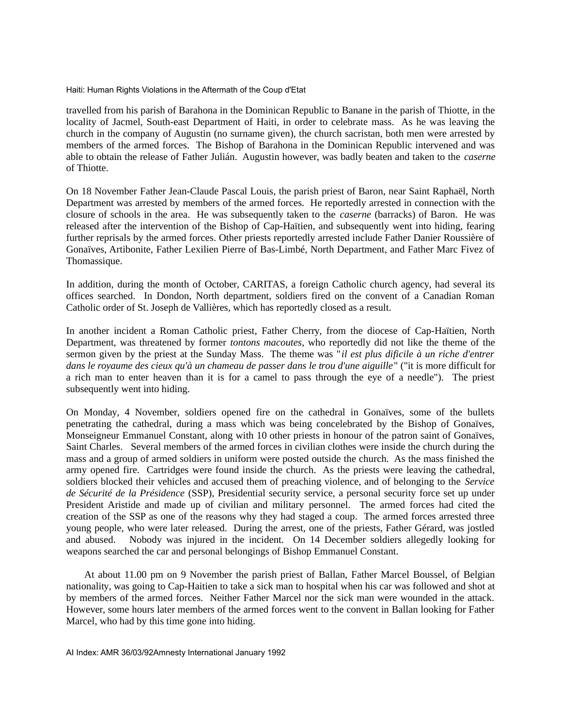travelled from his parish of Barahona in the Dominican Republic to Banane in the parish of Thiotte, in the locality of Jacmel, South-east Department of Haiti, in order to celebrate mass. As he was leaving the church in the company of Augustin (no surname given), the church sacristan, both men were arrested by members of the armed forces. The Bishop of Barahona in the Dominican Republic intervened and was able to obtain the release of Father Julián. Augustin however, was badly beaten and taken to the *caserne* of Thiotte.

On 18 November Father Jean-Claude Pascal Louis, the parish priest of Baron, near Saint Raphaël, North Department was arrested by members of the armed forces. He reportedly arrested in connection with the closure of schools in the area. He was subsequently taken to the *caserne* (barracks) of Baron. He was released after the intervention of the Bishop of Cap-Haïtien, and subsequently went into hiding, fearing further reprisals by the armed forces. Other priests reportedly arrested include Father Danier Roussière of Gonaïves, Artibonite, Father Lexilien Pierre of Bas-Limbé, North Department, and Father Marc Fivez of Thomassique.

In addition, during the month of October, CARITAS, a foreign Catholic church agency, had several its offices searched. In Dondon, North department, soldiers fired on the convent of a Canadian Roman Catholic order of St. Joseph de Vallières, which has reportedly closed as a result.

In another incident a Roman Catholic priest, Father Cherry, from the diocese of Cap-Haïtien, North Department, was threatened by former *tontons macoutes*, who reportedly did not like the theme of the sermon given by the priest at the Sunday Mass. The theme was "*il est plus dificile à un riche d'entrer dans le royaume des cieux qu'à un chameau de passer dans le trou d'une aiguille*" ("it is more difficult for a rich man to enter heaven than it is for a camel to pass through the eye of a needle"). The priest subsequently went into hiding.

On Monday, 4 November, soldiers opened fire on the cathedral in Gonaïves, some of the bullets penetrating the cathedral, during a mass which was being concelebrated by the Bishop of Gonaïves, Monseigneur Emmanuel Constant, along with 10 other priests in honour of the patron saint of Gonaïves, Saint Charles. Several members of the armed forces in civilian clothes were inside the church during the mass and a group of armed soldiers in uniform were posted outside the church. As the mass finished the army opened fire. Cartridges were found inside the church. As the priests were leaving the cathedral, soldiers blocked their vehicles and accused them of preaching violence, and of belonging to the *Service de Sécurité de la Présidence* (SSP), Presidential security service, a personal security force set up under President Aristide and made up of civilian and military personnel. The armed forces had cited the creation of the SSP as one of the reasons why they had staged a coup. The armed forces arrested three young people, who were later released. During the arrest, one of the priests, Father Gérard, was jostled and abused. Nobody was injured in the incident. On 14 December soldiers allegedly looking for weapons searched the car and personal belongings of Bishop Emmanuel Constant.

 At about 11.00 pm on 9 November the parish priest of Ballan, Father Marcel Boussel, of Belgian nationality, was going to Cap-Haitien to take a sick man to hospital when his car was followed and shot at by members of the armed forces. Neither Father Marcel nor the sick man were wounded in the attack. However, some hours later members of the armed forces went to the convent in Ballan looking for Father Marcel, who had by this time gone into hiding.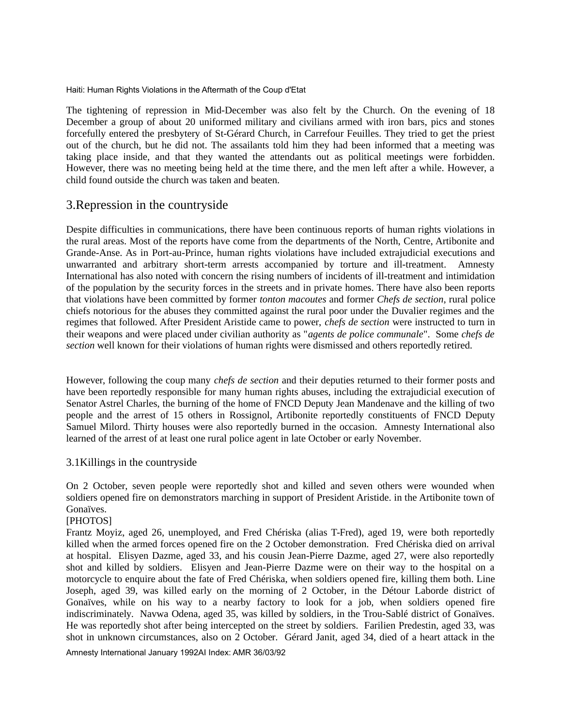The tightening of repression in Mid-December was also felt by the Church. On the evening of 18 December a group of about 20 uniformed military and civilians armed with iron bars, pics and stones forcefully entered the presbytery of St-Gérard Church, in Carrefour Feuilles. They tried to get the priest out of the church, but he did not. The assailants told him they had been informed that a meeting was taking place inside, and that they wanted the attendants out as political meetings were forbidden. However, there was no meeting being held at the time there, and the men left after a while. However, a child found outside the church was taken and beaten.

## 3.Repression in the countryside

Despite difficulties in communications, there have been continuous reports of human rights violations in the rural areas. Most of the reports have come from the departments of the North, Centre, Artibonite and Grande-Anse. As in Port-au-Prince, human rights violations have included extrajudicial executions and unwarranted and arbitrary short-term arrests accompanied by torture and ill-treatment. Amnesty International has also noted with concern the rising numbers of incidents of ill-treatment and intimidation of the population by the security forces in the streets and in private homes. There have also been reports that violations have been committed by former *tonton macoutes* and former *Chefs de section*, rural police chiefs notorious for the abuses they committed against the rural poor under the Duvalier regimes and the regimes that followed. After President Aristide came to power, *chefs de section* were instructed to turn in their weapons and were placed under civilian authority as "*agents de police communale*". Some *chefs de section* well known for their violations of human rights were dismissed and others reportedly retired.

However, following the coup many *chefs de section* and their deputies returned to their former posts and have been reportedly responsible for many human rights abuses, including the extrajudicial execution of Senator Astrel Charles, the burning of the home of FNCD Deputy Jean Mandenave and the killing of two people and the arrest of 15 others in Rossignol, Artibonite reportedly constituents of FNCD Deputy Samuel Milord. Thirty houses were also reportedly burned in the occasion. Amnesty International also learned of the arrest of at least one rural police agent in late October or early November.

#### 3.1Killings in the countryside

On 2 October, seven people were reportedly shot and killed and seven others were wounded when soldiers opened fire on demonstrators marching in support of President Aristide. in the Artibonite town of Gonaïves.

#### [PHOTOS]

Frantz Moyiz, aged 26, unemployed, and Fred Chériska (alias T-Fred), aged 19, were both reportedly killed when the armed forces opened fire on the 2 October demonstration. Fred Chériska died on arrival at hospital. Elisyen Dazme, aged 33, and his cousin Jean-Pierre Dazme, aged 27, were also reportedly shot and killed by soldiers. Elisyen and Jean-Pierre Dazme were on their way to the hospital on a motorcycle to enquire about the fate of Fred Chériska, when soldiers opened fire, killing them both. Line Joseph, aged 39, was killed early on the morning of 2 October, in the Détour Laborde district of Gonaïves, while on his way to a nearby factory to look for a job, when soldiers opened fire indiscriminately. Navwa Odena, aged 35, was killed by soldiers, in the Trou-Sablé district of Gonaïves. He was reportedly shot after being intercepted on the street by soldiers. Farilien Predestin, aged 33, was shot in unknown circumstances, also on 2 October. Gérard Janit, aged 34, died of a heart attack in the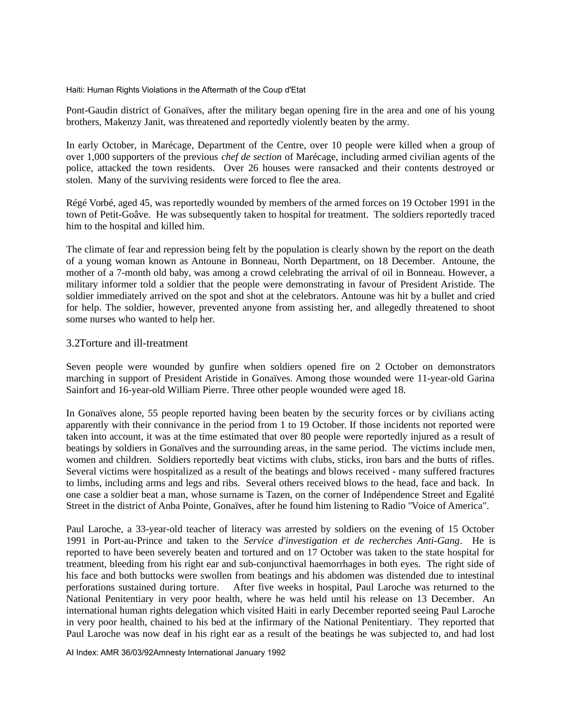Pont-Gaudin district of Gonaïves, after the military began opening fire in the area and one of his young brothers, Makenzy Janit, was threatened and reportedly violently beaten by the army.

In early October, in Marécage, Department of the Centre, over 10 people were killed when a group of over 1,000 supporters of the previous *chef de section* of Marécage, including armed civilian agents of the police, attacked the town residents. Over 26 houses were ransacked and their contents destroyed or stolen. Many of the surviving residents were forced to flee the area.

Régé Vorbé, aged 45, was reportedly wounded by members of the armed forces on 19 October 1991 in the town of Petit-Goâve. He was subsequently taken to hospital for treatment. The soldiers reportedly traced him to the hospital and killed him.

The climate of fear and repression being felt by the population is clearly shown by the report on the death of a young woman known as Antoune in Bonneau, North Department, on 18 December. Antoune, the mother of a 7-month old baby, was among a crowd celebrating the arrival of oil in Bonneau. However, a military informer told a soldier that the people were demonstrating in favour of President Aristide. The soldier immediately arrived on the spot and shot at the celebrators. Antoune was hit by a bullet and cried for help. The soldier, however, prevented anyone from assisting her, and allegedly threatened to shoot some nurses who wanted to help her.

#### 3.2Torture and ill-treatment

Seven people were wounded by gunfire when soldiers opened fire on 2 October on demonstrators marching in support of President Aristide in Gonaïves. Among those wounded were 11-year-old Garina Sainfort and 16-year-old William Pierre. Three other people wounded were aged 18.

In Gonaïves alone, 55 people reported having been beaten by the security forces or by civilians acting apparently with their connivance in the period from 1 to 19 October. If those incidents not reported were taken into account, it was at the time estimated that over 80 people were reportedly injured as a result of beatings by soldiers in Gonaïves and the surrounding areas, in the same period. The victims include men, women and children. Soldiers reportedly beat victims with clubs, sticks, iron bars and the butts of rifles. Several victims were hospitalized as a result of the beatings and blows received - many suffered fractures to limbs, including arms and legs and ribs. Several others received blows to the head, face and back. In one case a soldier beat a man, whose surname is Tazen, on the corner of Indépendence Street and Egalité Street in the district of Anba Pointe, Gonaïves, after he found him listening to Radio "Voice of America".

Paul Laroche, a 33-year-old teacher of literacy was arrested by soldiers on the evening of 15 October 1991 in Port-au-Prince and taken to the *Service d'investigation et de recherches Anti-Gang*. He is reported to have been severely beaten and tortured and on 17 October was taken to the state hospital for treatment, bleeding from his right ear and sub-conjunctival haemorrhages in both eyes. The right side of his face and both buttocks were swollen from beatings and his abdomen was distended due to intestinal perforations sustained during torture. After five weeks in hospital, Paul Laroche was returned to the National Penitentiary in very poor health, where he was held until his release on 13 December. An international human rights delegation which visited Haiti in early December reported seeing Paul Laroche in very poor health, chained to his bed at the infirmary of the National Penitentiary. They reported that Paul Laroche was now deaf in his right ear as a result of the beatings he was subjected to, and had lost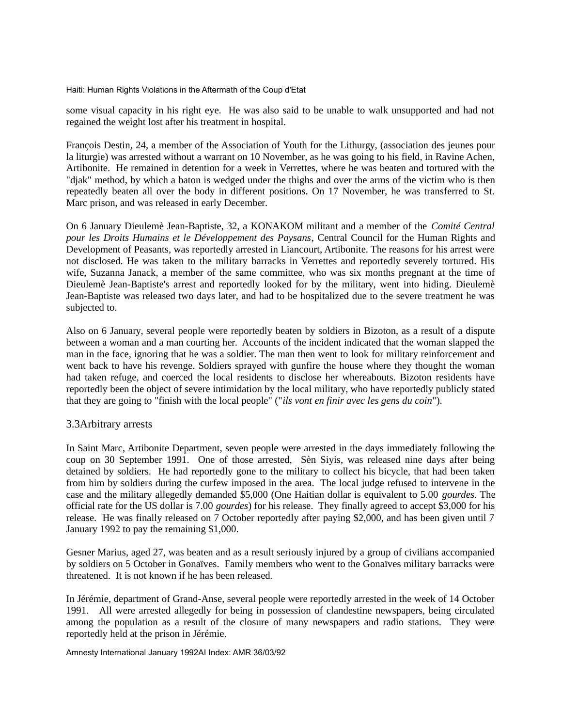some visual capacity in his right eye. He was also said to be unable to walk unsupported and had not regained the weight lost after his treatment in hospital.

François Destin, 24, a member of the Association of Youth for the Lithurgy, (association des jeunes pour la liturgie) was arrested without a warrant on 10 November, as he was going to his field, in Ravine Achen, Artibonite. He remained in detention for a week in Verrettes, where he was beaten and tortured with the "djak" method, by which a baton is wedged under the thighs and over the arms of the victim who is then repeatedly beaten all over the body in different positions. On 17 November, he was transferred to St. Marc prison, and was released in early December.

On 6 January Dieulemè Jean-Baptiste, 32, a KONAKOM militant and a member of the *Comité Central pour les Droits Humains et le Développement des Paysans*, Central Council for the Human Rights and Development of Peasants, was reportedly arrested in Liancourt, Artibonite. The reasons for his arrest were not disclosed. He was taken to the military barracks in Verrettes and reportedly severely tortured. His wife, Suzanna Janack, a member of the same committee, who was six months pregnant at the time of Dieulemè Jean-Baptiste's arrest and reportedly looked for by the military, went into hiding. Dieulemè Jean-Baptiste was released two days later, and had to be hospitalized due to the severe treatment he was subjected to.

Also on 6 January, several people were reportedly beaten by soldiers in Bizoton, as a result of a dispute between a woman and a man courting her. Accounts of the incident indicated that the woman slapped the man in the face, ignoring that he was a soldier. The man then went to look for military reinforcement and went back to have his revenge. Soldiers sprayed with gunfire the house where they thought the woman had taken refuge, and coerced the local residents to disclose her whereabouts. Bizoton residents have reportedly been the object of severe intimidation by the local military, who have reportedly publicly stated that they are going to "finish with the local people" ("*ils vont en finir avec les gens du coin*").

#### 3.3Arbitrary arrests

In Saint Marc, Artibonite Department, seven people were arrested in the days immediately following the coup on 30 September 1991. One of those arrested, Sèn Siyis, was released nine days after being detained by soldiers. He had reportedly gone to the military to collect his bicycle, that had been taken from him by soldiers during the curfew imposed in the area. The local judge refused to intervene in the case and the military allegedly demanded \$5,000 (One Haitian dollar is equivalent to 5.00 *gourdes*. The official rate for the US dollar is 7.00 *gourdes*) for his release. They finally agreed to accept \$3,000 for his release. He was finally released on 7 October reportedly after paying \$2,000, and has been given until 7 January 1992 to pay the remaining \$1,000.

Gesner Marius, aged 27, was beaten and as a result seriously injured by a group of civilians accompanied by soldiers on 5 October in Gonaïves. Family members who went to the Gonaïves military barracks were threatened. It is not known if he has been released.

In Jérémie, department of Grand-Anse, several people were reportedly arrested in the week of 14 October 1991. All were arrested allegedly for being in possession of clandestine newspapers, being circulated among the population as a result of the closure of many newspapers and radio stations. They were reportedly held at the prison in Jérémie.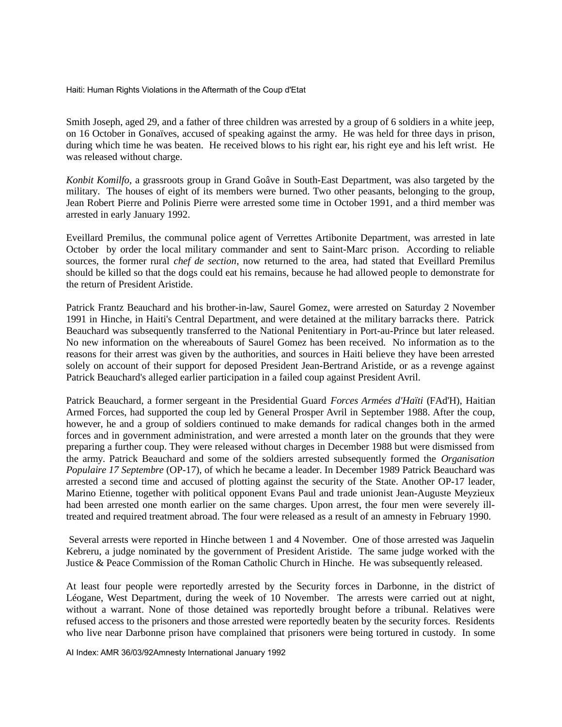Smith Joseph, aged 29, and a father of three children was arrested by a group of 6 soldiers in a white jeep, on 16 October in Gonaïves, accused of speaking against the army. He was held for three days in prison, during which time he was beaten. He received blows to his right ear, his right eye and his left wrist. He was released without charge.

*Konbit Komilfo*, a grassroots group in Grand Goâve in South-East Department, was also targeted by the military. The houses of eight of its members were burned. Two other peasants, belonging to the group, Jean Robert Pierre and Polinis Pierre were arrested some time in October 1991, and a third member was arrested in early January 1992.

Eveillard Premilus, the communal police agent of Verrettes Artibonite Department, was arrested in late October by order the local military commander and sent to Saint-Marc prison. According to reliable sources, the former rural *chef de section*, now returned to the area, had stated that Eveillard Premilus should be killed so that the dogs could eat his remains, because he had allowed people to demonstrate for the return of President Aristide.

Patrick Frantz Beauchard and his brother-in-law, Saurel Gomez, were arrested on Saturday 2 November 1991 in Hinche, in Haiti's Central Department, and were detained at the military barracks there. Patrick Beauchard was subsequently transferred to the National Penitentiary in Port-au-Prince but later released. No new information on the whereabouts of Saurel Gomez has been received. No information as to the reasons for their arrest was given by the authorities, and sources in Haiti believe they have been arrested solely on account of their support for deposed President Jean-Bertrand Aristide, or as a revenge against Patrick Beauchard's alleged earlier participation in a failed coup against President Avril.

Patrick Beauchard, a former sergeant in the Presidential Guard *Forces Armées d'Haïti* (FAd'H), Haitian Armed Forces, had supported the coup led by General Prosper Avril in September 1988. After the coup, however, he and a group of soldiers continued to make demands for radical changes both in the armed forces and in government administration, and were arrested a month later on the grounds that they were preparing a further coup. They were released without charges in December 1988 but were dismissed from the army. Patrick Beauchard and some of the soldiers arrested subsequently formed the *Organisation Populaire 17 Septembre* (OP-17), of which he became a leader. In December 1989 Patrick Beauchard was arrested a second time and accused of plotting against the security of the State. Another OP-17 leader, Marino Etienne, together with political opponent Evans Paul and trade unionist Jean-Auguste Meyzieux had been arrested one month earlier on the same charges. Upon arrest, the four men were severely illtreated and required treatment abroad. The four were released as a result of an amnesty in February 1990.

 Several arrests were reported in Hinche between 1 and 4 November. One of those arrested was Jaquelin Kebreru, a judge nominated by the government of President Aristide. The same judge worked with the Justice & Peace Commission of the Roman Catholic Church in Hinche. He was subsequently released.

At least four people were reportedly arrested by the Security forces in Darbonne, in the district of Léogane, West Department, during the week of 10 November. The arrests were carried out at night, without a warrant. None of those detained was reportedly brought before a tribunal. Relatives were refused access to the prisoners and those arrested were reportedly beaten by the security forces. Residents who live near Darbonne prison have complained that prisoners were being tortured in custody. In some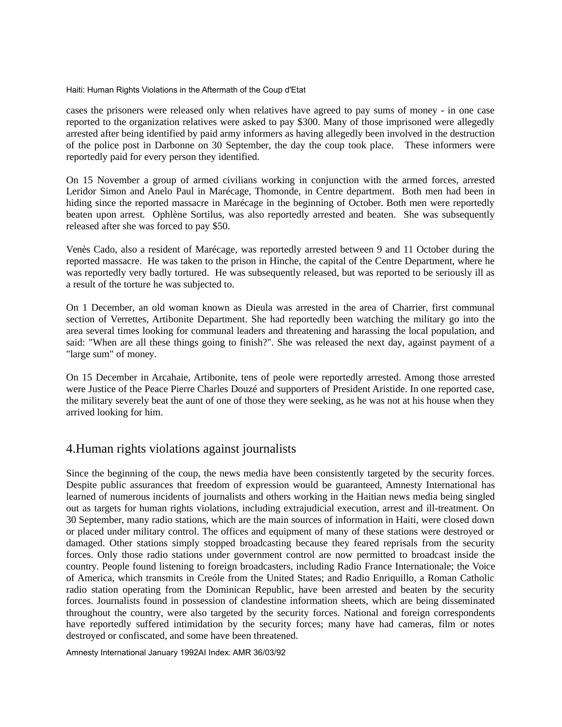cases the prisoners were released only when relatives have agreed to pay sums of money - in one case reported to the organization relatives were asked to pay \$300. Many of those imprisoned were allegedly arrested after being identified by paid army informers as having allegedly been involved in the destruction of the police post in Darbonne on 30 September, the day the coup took place. These informers were reportedly paid for every person they identified.

On 15 November a group of armed civilians working in conjunction with the armed forces, arrested Leridor Simon and Anelo Paul in Marécage, Thomonde, in Centre department. Both men had been in hiding since the reported massacre in Marécage in the beginning of October. Both men were reportedly beaten upon arrest. Ophlène Sortilus, was also reportedly arrested and beaten. She was subsequently released after she was forced to pay \$50.

Venès Cado, also a resident of Marécage, was reportedly arrested between 9 and 11 October during the reported massacre. He was taken to the prison in Hinche, the capital of the Centre Department, where he was reportedly very badly tortured. He was subsequently released, but was reported to be seriously ill as a result of the torture he was subjected to.

On 1 December, an old woman known as Dieula was arrested in the area of Charrier, first communal section of Verrettes, Artibonite Department. She had reportedly been watching the military go into the area several times looking for communal leaders and threatening and harassing the local population, and said: "When are all these things going to finish?". She was released the next day, against payment of a "large sum" of money.

On 15 December in Arcahaie, Artibonite, tens of peole were reportedly arrested. Among those arrested were Justice of the Peace Pierre Charles Douzé and supporters of President Aristide. In one reported case, the military severely beat the aunt of one of those they were seeking, as he was not at his house when they arrived looking for him.

## 4.Human rights violations against journalists

Since the beginning of the coup, the news media have been consistently targeted by the security forces. Despite public assurances that freedom of expression would be guaranteed, Amnesty International has learned of numerous incidents of journalists and others working in the Haitian news media being singled out as targets for human rights violations, including extrajudicial execution, arrest and ill-treatment. On 30 September, many radio stations, which are the main sources of information in Haiti, were closed down or placed under military control. The offices and equipment of many of these stations were destroyed or damaged. Other stations simply stopped broadcasting because they feared reprisals from the security forces. Only those radio stations under government control are now permitted to broadcast inside the country. People found listening to foreign broadcasters, including Radio France Internationale; the Voice of America, which transmits in Creóle from the United States; and Radio Enriquillo, a Roman Catholic radio station operating from the Dominican Republic, have been arrested and beaten by the security forces. Journalists found in possession of clandestine information sheets, which are being disseminated throughout the country, were also targeted by the security forces. National and foreign correspondents have reportedly suffered intimidation by the security forces; many have had cameras, film or notes destroyed or confiscated, and some have been threatened.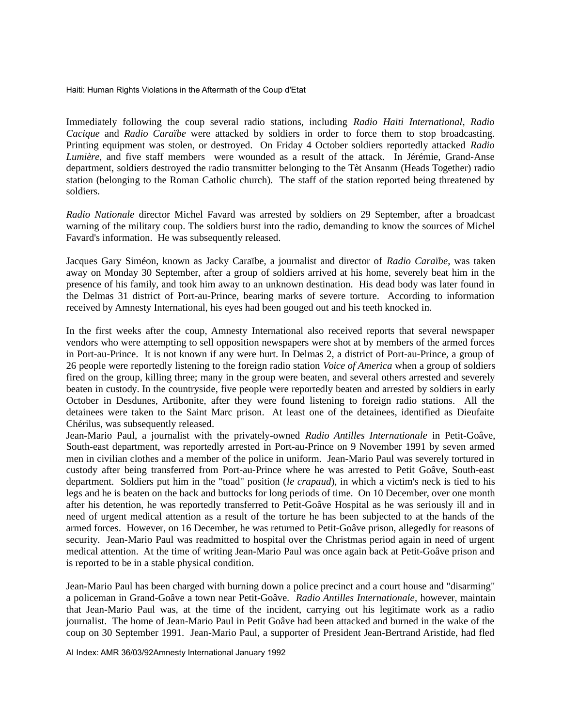Immediately following the coup several radio stations, including *Radio Haïti International*, *Radio Cacique* and *Radio Caraïbe* were attacked by soldiers in order to force them to stop broadcasting. Printing equipment was stolen, or destroyed. On Friday 4 October soldiers reportedly attacked *Radio Lumière*, and five staff members were wounded as a result of the attack. In Jérémie, Grand-Anse department, soldiers destroyed the radio transmitter belonging to the Tèt Ansanm (Heads Together) radio station (belonging to the Roman Catholic church). The staff of the station reported being threatened by soldiers.

*Radio Nationale* director Michel Favard was arrested by soldiers on 29 September, after a broadcast warning of the military coup. The soldiers burst into the radio, demanding to know the sources of Michel Favard's information. He was subsequently released.

Jacques Gary Siméon, known as Jacky Caraïbe, a journalist and director of *Radio Caraïbe*, was taken away on Monday 30 September, after a group of soldiers arrived at his home, severely beat him in the presence of his family, and took him away to an unknown destination. His dead body was later found in the Delmas 31 district of Port-au-Prince, bearing marks of severe torture. According to information received by Amnesty International, his eyes had been gouged out and his teeth knocked in.

In the first weeks after the coup, Amnesty International also received reports that several newspaper vendors who were attempting to sell opposition newspapers were shot at by members of the armed forces in Port-au-Prince. It is not known if any were hurt. In Delmas 2, a district of Port-au-Prince, a group of 26 people were reportedly listening to the foreign radio station *Voice of America* when a group of soldiers fired on the group, killing three; many in the group were beaten, and several others arrested and severely beaten in custody. In the countryside, five people were reportedly beaten and arrested by soldiers in early October in Desdunes, Artibonite, after they were found listening to foreign radio stations. All the detainees were taken to the Saint Marc prison. At least one of the detainees, identified as Dieufaite Chérilus, was subsequently released.

Jean-Mario Paul, a journalist with the privately-owned *Radio Antilles Internationale* in Petit-Goâve, South-east department, was reportedly arrested in Port-au-Prince on 9 November 1991 by seven armed men in civilian clothes and a member of the police in uniform. Jean-Mario Paul was severely tortured in custody after being transferred from Port-au-Prince where he was arrested to Petit Goâve, South-east department. Soldiers put him in the "toad" position (*le crapaud*), in which a victim's neck is tied to his legs and he is beaten on the back and buttocks for long periods of time. On 10 December, over one month after his detention, he was reportedly transferred to Petit-Goâve Hospital as he was seriously ill and in need of urgent medical attention as a result of the torture he has been subjected to at the hands of the armed forces. However, on 16 December, he was returned to Petit-Goâve prison, allegedly for reasons of security. Jean-Mario Paul was readmitted to hospital over the Christmas period again in need of urgent medical attention. At the time of writing Jean-Mario Paul was once again back at Petit-Goâve prison and is reported to be in a stable physical condition.

Jean-Mario Paul has been charged with burning down a police precinct and a court house and "disarming" a policeman in Grand-Goâve a town near Petit-Goâve. *Radio Antilles Internationale*, however, maintain that Jean-Mario Paul was, at the time of the incident, carrying out his legitimate work as a radio journalist. The home of Jean-Mario Paul in Petit Goâve had been attacked and burned in the wake of the coup on 30 September 1991. Jean-Mario Paul, a supporter of President Jean-Bertrand Aristide, had fled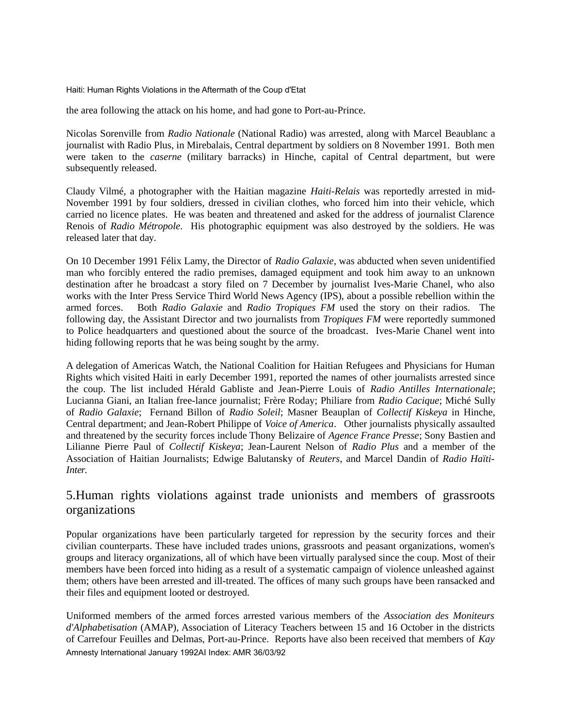the area following the attack on his home, and had gone to Port-au-Prince.

Nicolas Sorenville from *Radio Nationale* (National Radio) was arrested, along with Marcel Beaublanc a journalist with Radio Plus, in Mirebalais, Central department by soldiers on 8 November 1991. Both men were taken to the *caserne* (military barracks) in Hinche, capital of Central department, but were subsequently released.

Claudy Vilmé, a photographer with the Haitian magazine *Haiti-Relais* was reportedly arrested in mid-November 1991 by four soldiers, dressed in civilian clothes, who forced him into their vehicle, which carried no licence plates. He was beaten and threatened and asked for the address of journalist Clarence Renois of *Radio Métropole*. His photographic equipment was also destroyed by the soldiers. He was released later that day.

On 10 December 1991 Félix Lamy, the Director of *Radio Galaxie*, was abducted when seven unidentified man who forcibly entered the radio premises, damaged equipment and took him away to an unknown destination after he broadcast a story filed on 7 December by journalist Ives-Marie Chanel, who also works with the Inter Press Service Third World News Agency (IPS), about a possible rebellion within the armed forces. Both *Radio Galaxie* and *Radio Tropiques FM* used the story on their radios. The following day, the Assistant Director and two journalists from *Tropiques FM* were reportedly summoned to Police headquarters and questioned about the source of the broadcast. Ives-Marie Chanel went into hiding following reports that he was being sought by the army.

A delegation of Americas Watch, the National Coalition for Haitian Refugees and Physicians for Human Rights which visited Haiti in early December 1991, reported the names of other journalists arrested since the coup. The list included Hérald Gabliste and Jean-Pierre Louis of *Radio Antilles Internationale*; Lucianna Giani, an Italian free-lance journalist; Frère Roday; Philiare from *Radio Cacique*; Miché Sully of *Radio Galaxie*; Fernand Billon of *Radio Soleil*; Masner Beauplan of *Collectif Kiskeya* in Hinche, Central department; and Jean-Robert Philippe of *Voice of America*. Other journalists physically assaulted and threatened by the security forces include Thony Belizaire of *Agence France Presse*; Sony Bastien and Lilianne Pierre Paul of *Collectif Kiskeya*; Jean-Laurent Nelson of *Radio Plus* and a member of the Association of Haitian Journalists; Edwige Balutansky of *Reuters*, and Marcel Dandin of *Radio Haïti-Inter*.

## 5.Human rights violations against trade unionists and members of grassroots organizations

Popular organizations have been particularly targeted for repression by the security forces and their civilian counterparts. These have included trades unions, grassroots and peasant organizations, women's groups and literacy organizations, all of which have been virtually paralysed since the coup. Most of their members have been forced into hiding as a result of a systematic campaign of violence unleashed against them; others have been arrested and ill-treated. The offices of many such groups have been ransacked and their files and equipment looted or destroyed.

Uniformed members of the armed forces arrested various members of the *Association des Moniteurs d'Alphabetisation* (AMAP), Association of Literacy Teachers between 15 and 16 October in the districts of Carrefour Feuilles and Delmas, Port-au-Prince. Reports have also been received that members of *Kay* Amnesty International January 1992AI Index: AMR 36/03/92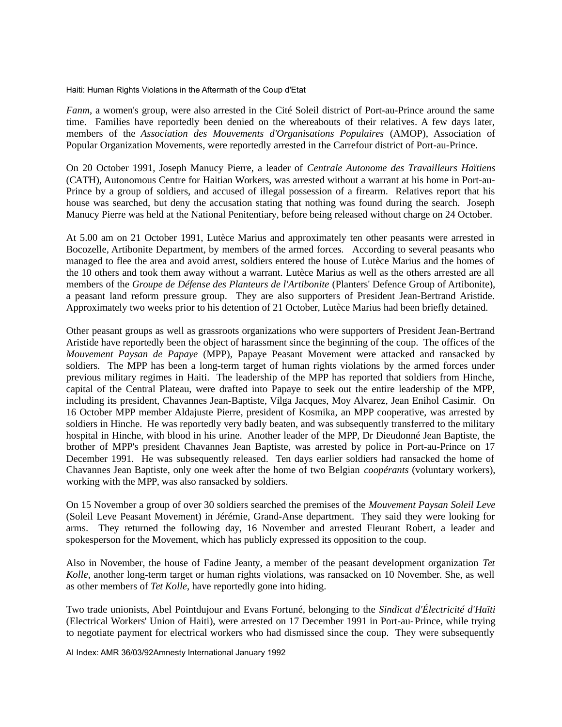*Fanm*, a women's group, were also arrested in the Cité Soleil district of Port-au-Prince around the same time. Families have reportedly been denied on the whereabouts of their relatives. A few days later, members of the *Association des Mouvements d'Organisations Populaires* (AMOP), Association of Popular Organization Movements, were reportedly arrested in the Carrefour district of Port-au-Prince.

On 20 October 1991, Joseph Manucy Pierre, a leader of *Centrale Autonome des Travailleurs Haïtiens* (CATH), Autonomous Centre for Haitian Workers, was arrested without a warrant at his home in Port-au-Prince by a group of soldiers, and accused of illegal possession of a firearm. Relatives report that his house was searched, but deny the accusation stating that nothing was found during the search. Joseph Manucy Pierre was held at the National Penitentiary, before being released without charge on 24 October.

At 5.00 am on 21 October 1991, Lutèce Marius and approximately ten other peasants were arrested in Bocozelle, Artibonite Department, by members of the armed forces. According to several peasants who managed to flee the area and avoid arrest, soldiers entered the house of Lutèce Marius and the homes of the 10 others and took them away without a warrant. Lutèce Marius as well as the others arrested are all members of the *Groupe de Défense des Planteurs de l'Artibonite* (Planters' Defence Group of Artibonite), a peasant land reform pressure group. They are also supporters of President Jean-Bertrand Aristide. Approximately two weeks prior to his detention of 21 October, Lutèce Marius had been briefly detained.

Other peasant groups as well as grassroots organizations who were supporters of President Jean-Bertrand Aristide have reportedly been the object of harassment since the beginning of the coup. The offices of the *Mouvement Paysan de Papaye* (MPP), Papaye Peasant Movement were attacked and ransacked by soldiers. The MPP has been a long-term target of human rights violations by the armed forces under previous military regimes in Haiti. The leadership of the MPP has reported that soldiers from Hinche, capital of the Central Plateau, were drafted into Papaye to seek out the entire leadership of the MPP, including its president, Chavannes Jean-Baptiste, Vilga Jacques, Moy Alvarez, Jean Enihol Casimir. On 16 October MPP member Aldajuste Pierre, president of Kosmika, an MPP cooperative, was arrested by soldiers in Hinche. He was reportedly very badly beaten, and was subsequently transferred to the military hospital in Hinche, with blood in his urine. Another leader of the MPP, Dr Dieudonné Jean Baptiste, the brother of MPP's president Chavannes Jean Baptiste, was arrested by police in Port-au-Prince on 17 December 1991. He was subsequently released. Ten days earlier soldiers had ransacked the home of Chavannes Jean Baptiste, only one week after the home of two Belgian *coopérants* (voluntary workers), working with the MPP, was also ransacked by soldiers.

On 15 November a group of over 30 soldiers searched the premises of the *Mouvement Paysan Soleil Leve* (Soleil Leve Peasant Movement) in Jérémie, Grand-Anse department. They said they were looking for arms. They returned the following day, 16 November and arrested Fleurant Robert, a leader and spokesperson for the Movement, which has publicly expressed its opposition to the coup.

Also in November, the house of Fadine Jeanty, a member of the peasant development organization *Tet Kolle*, another long-term target or human rights violations, was ransacked on 10 November. She, as well as other members of *Tet Kolle*, have reportedly gone into hiding.

Two trade unionists, Abel Pointdujour and Evans Fortuné, belonging to the *Sindicat d'Électricité d'Haïti* (Electrical Workers' Union of Haiti), were arrested on 17 December 1991 in Port-au-Prince, while trying to negotiate payment for electrical workers who had dismissed since the coup. They were subsequently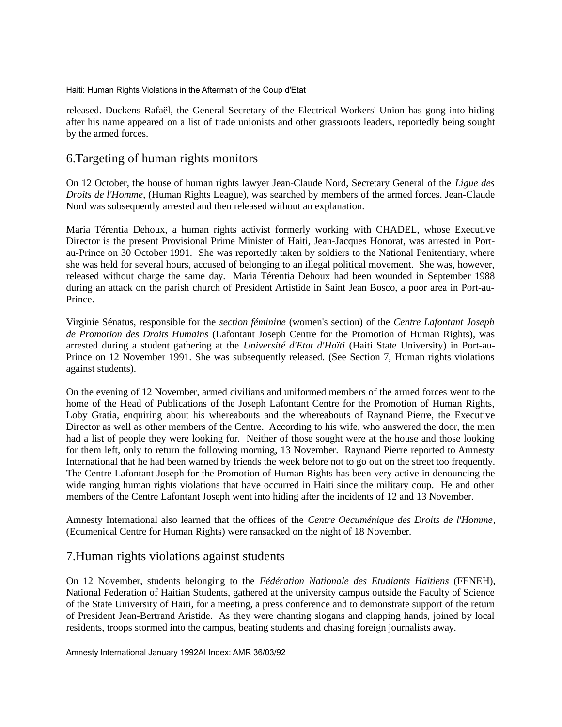released. Duckens Rafaël, the General Secretary of the Electrical Workers' Union has gong into hiding after his name appeared on a list of trade unionists and other grassroots leaders, reportedly being sought by the armed forces.

## 6.Targeting of human rights monitors

On 12 October, the house of human rights lawyer Jean-Claude Nord, Secretary General of the *Ligue des Droits de l'Homme*, (Human Rights League), was searched by members of the armed forces. Jean-Claude Nord was subsequently arrested and then released without an explanation.

Maria Térentia Dehoux, a human rights activist formerly working with CHADEL, whose Executive Director is the present Provisional Prime Minister of Haiti, Jean-Jacques Honorat, was arrested in Portau-Prince on 30 October 1991. She was reportedly taken by soldiers to the National Penitentiary, where she was held for several hours, accused of belonging to an illegal political movement. She was, however, released without charge the same day. Maria Térentia Dehoux had been wounded in September 1988 during an attack on the parish church of President Artistide in Saint Jean Bosco, a poor area in Port-au-Prince.

Virginie Sénatus, responsible for the *section féminine* (women's section) of the *Centre Lafontant Joseph de Promotion des Droits Humains* (Lafontant Joseph Centre for the Promotion of Human Rights), was arrested during a student gathering at the *Université d'Etat d'Haïti* (Haiti State University) in Port-au-Prince on 12 November 1991. She was subsequently released. (See Section 7, Human rights violations against students).

On the evening of 12 November, armed civilians and uniformed members of the armed forces went to the home of the Head of Publications of the Joseph Lafontant Centre for the Promotion of Human Rights, Loby Gratia, enquiring about his whereabouts and the whereabouts of Raynand Pierre, the Executive Director as well as other members of the Centre. According to his wife, who answered the door, the men had a list of people they were looking for. Neither of those sought were at the house and those looking for them left, only to return the following morning, 13 November. Raynand Pierre reported to Amnesty International that he had been warned by friends the week before not to go out on the street too frequently. The Centre Lafontant Joseph for the Promotion of Human Rights has been very active in denouncing the wide ranging human rights violations that have occurred in Haiti since the military coup. He and other members of the Centre Lafontant Joseph went into hiding after the incidents of 12 and 13 November.

Amnesty International also learned that the offices of the *Centre Oecuménique des Droits de l'Homme*, (Ecumenical Centre for Human Rights) were ransacked on the night of 18 November.

## 7.Human rights violations against students

On 12 November, students belonging to the *Fédération Nationale des Etudiants Haïtiens* (FENEH), National Federation of Haitian Students, gathered at the university campus outside the Faculty of Science of the State University of Haiti, for a meeting, a press conference and to demonstrate support of the return of President Jean-Bertrand Aristide. As they were chanting slogans and clapping hands, joined by local residents, troops stormed into the campus, beating students and chasing foreign journalists away.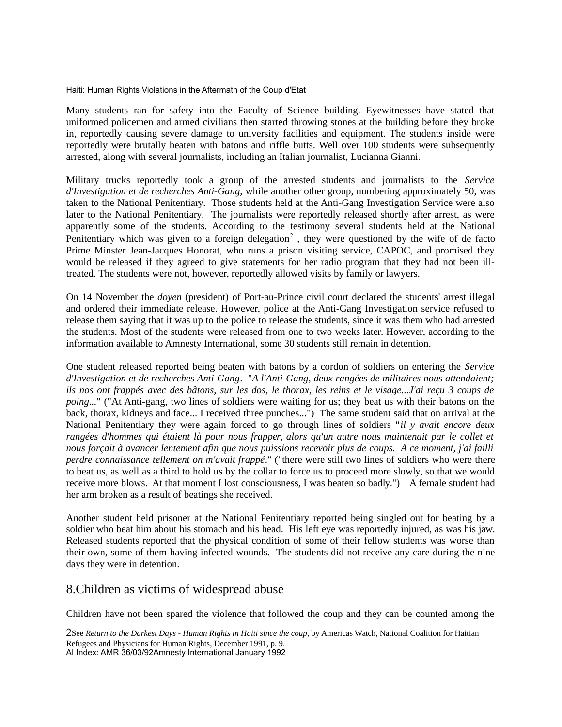Many students ran for safety into the Faculty of Science building. Eyewitnesses have stated that uniformed policemen and armed civilians then started throwing stones at the building before they broke in, reportedly causing severe damage to university facilities and equipment. The students inside were reportedly were brutally beaten with batons and riffle butts. Well over 100 students were subsequently arrested, along with several journalists, including an Italian journalist, Lucianna Gianni.

Military trucks reportedly took a group of the arrested students and journalists to the *Service d'Investigation et de recherches Anti-Gang,* while another other group, numbering approximately 50, was taken to the National Penitentiary. Those students held at the Anti-Gang Investigation Service were also later to the National Penitentiary. The journalists were reportedly released shortly after arrest, as were apparently some of the students. According to the testimony several students held at the National Penitentiary which was given to a foreign delegation<sup>[2](#page-21-0)</sup>, they were questioned by the wife of de facto Prime Minster Jean-Jacques Honorat, who runs a prison visiting service, CAPOC, and promised they would be released if they agreed to give statements for her radio program that they had not been illtreated. The students were not, however, reportedly allowed visits by family or lawyers.

On 14 November the *doyen* (president) of Port-au-Prince civil court declared the students' arrest illegal and ordered their immediate release. However, police at the Anti-Gang Investigation service refused to release them saying that it was up to the police to release the students, since it was them who had arrested the students. Most of the students were released from one to two weeks later. However, according to the information available to Amnesty International, some 30 students still remain in detention.

One student released reported being beaten with batons by a cordon of soldiers on entering the *Service d'Investigation et de recherches Anti-Gang*. "*A l'Anti-Gang, deux rangées de militaires nous attendaient; ils nos ont frappés avec des bâtons, sur les dos, le thorax, les reins et le visage...J'ai reçu 3 coups de poing...*" ("At Anti-gang, two lines of soldiers were waiting for us; they beat us with their batons on the back, thorax, kidneys and face... I received three punches...") The same student said that on arrival at the National Penitentiary they were again forced to go through lines of soldiers "*il y avait encore deux rangées d'hommes qui étaient là pour nous frapper, alors qu'un autre nous maintenait par le collet et nous forçait à avancer lentement afin que nous puissions recevoir plus de coups. A ce moment, j'ai failli perdre connaissance tellement on m'avait frappé*." ("there were still two lines of soldiers who were there to beat us, as well as a third to hold us by the collar to force us to proceed more slowly, so that we would receive more blows. At that moment I lost consciousness, I was beaten so badly.") A female student had her arm broken as a result of beatings she received.

Another student held prisoner at the National Penitentiary reported being singled out for beating by a soldier who beat him about his stomach and his head. His left eye was reportedly injured, as was his jaw. Released students reported that the physical condition of some of their fellow students was worse than their own, some of them having infected wounds. The students did not receive any care during the nine days they were in detention.

## 8.Children as victims of widespread abuse

Children have not been spared the violence that followed the coup and they can be counted among the

<span id="page-21-0"></span><sup>2</sup>See *Return to the Darkest Days - Human Rights in Haiti since the coup*, by Americas Watch, National Coalition for Haitian Refugees and Physicians for Human Rights, December 1991, p. 9. AI Index: AMR 36/03/92Amnesty International January 1992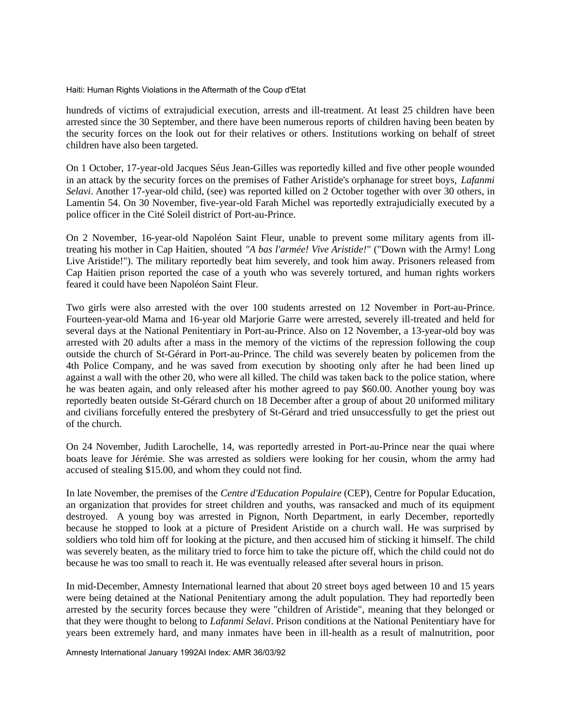hundreds of victims of extrajudicial execution, arrests and ill-treatment. At least 25 children have been arrested since the 30 September, and there have been numerous reports of children having been beaten by the security forces on the look out for their relatives or others. Institutions working on behalf of street children have also been targeted.

On 1 October, 17-year-old Jacques Séus Jean-Gilles was reportedly killed and five other people wounded in an attack by the security forces on the premises of Father Aristide's orphanage for street boys, *Lafanmi Selavi*. Another 17-year-old child, (see) was reported killed on 2 October together with over 30 others, in Lamentin 54. On 30 November, five-year-old Farah Michel was reportedly extrajudicially executed by a police officer in the Cité Soleil district of Port-au-Prince.

On 2 November, 16-year-old Napoléon Saint Fleur, unable to prevent some military agents from illtreating his mother in Cap Haitien, shouted *"A bas l'armée! Vive Aristide!*" ("Down with the Army! Long Live Aristide!"). The military reportedly beat him severely, and took him away. Prisoners released from Cap Haitien prison reported the case of a youth who was severely tortured, and human rights workers feared it could have been Napoléon Saint Fleur.

Two girls were also arrested with the over 100 students arrested on 12 November in Port-au-Prince. Fourteen-year-old Mama and 16-year old Marjorie Garre were arrested, severely ill-treated and held for several days at the National Penitentiary in Port-au-Prince. Also on 12 November, a 13-year-old boy was arrested with 20 adults after a mass in the memory of the victims of the repression following the coup outside the church of St-Gérard in Port-au-Prince. The child was severely beaten by policemen from the 4th Police Company, and he was saved from execution by shooting only after he had been lined up against a wall with the other 20, who were all killed. The child was taken back to the police station, where he was beaten again, and only released after his mother agreed to pay \$60.00. Another young boy was reportedly beaten outside St-Gérard church on 18 December after a group of about 20 uniformed military and civilians forcefully entered the presbytery of St-Gérard and tried unsuccessfully to get the priest out of the church.

On 24 November, Judith Larochelle, 14, was reportedly arrested in Port-au-Prince near the quai where boats leave for Jérémie. She was arrested as soldiers were looking for her cousin, whom the army had accused of stealing \$15.00, and whom they could not find.

In late November, the premises of the *Centre d'Education Populaire* (CEP), Centre for Popular Education, an organization that provides for street children and youths, was ransacked and much of its equipment destroyed. A young boy was arrested in Pignon, North Department, in early December, reportedly because he stopped to look at a picture of President Aristide on a church wall. He was surprised by soldiers who told him off for looking at the picture, and then accused him of sticking it himself. The child was severely beaten, as the military tried to force him to take the picture off, which the child could not do because he was too small to reach it. He was eventually released after several hours in prison.

In mid-December, Amnesty International learned that about 20 street boys aged between 10 and 15 years were being detained at the National Penitentiary among the adult population. They had reportedly been arrested by the security forces because they were "children of Aristide", meaning that they belonged or that they were thought to belong to *Lafanmi Selavi*. Prison conditions at the National Penitentiary have for years been extremely hard, and many inmates have been in ill-health as a result of malnutrition, poor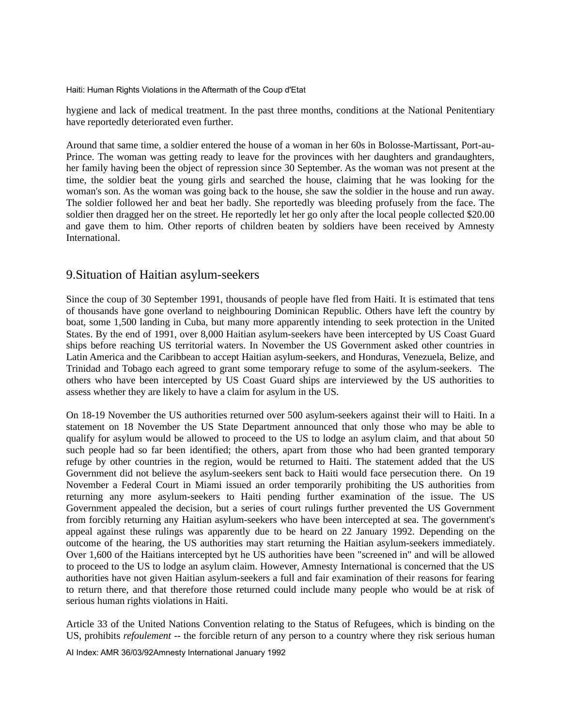hygiene and lack of medical treatment. In the past three months, conditions at the National Penitentiary have reportedly deteriorated even further.

Around that same time, a soldier entered the house of a woman in her 60s in Bolosse-Martissant, Port-au-Prince. The woman was getting ready to leave for the provinces with her daughters and grandaughters, her family having been the object of repression since 30 September. As the woman was not present at the time, the soldier beat the young girls and searched the house, claiming that he was looking for the woman's son. As the woman was going back to the house, she saw the soldier in the house and run away. The soldier followed her and beat her badly. She reportedly was bleeding profusely from the face. The soldier then dragged her on the street. He reportedly let her go only after the local people collected \$20.00 and gave them to him. Other reports of children beaten by soldiers have been received by Amnesty International.

### 9.Situation of Haitian asylum-seekers

Since the coup of 30 September 1991, thousands of people have fled from Haiti. It is estimated that tens of thousands have gone overland to neighbouring Dominican Republic. Others have left the country by boat, some 1,500 landing in Cuba, but many more apparently intending to seek protection in the United States. By the end of 1991, over 8,000 Haitian asylum-seekers have been intercepted by US Coast Guard ships before reaching US territorial waters. In November the US Government asked other countries in Latin America and the Caribbean to accept Haitian asylum-seekers, and Honduras, Venezuela, Belize, and Trinidad and Tobago each agreed to grant some temporary refuge to some of the asylum-seekers. The others who have been intercepted by US Coast Guard ships are interviewed by the US authorities to assess whether they are likely to have a claim for asylum in the US.

On 18-19 November the US authorities returned over 500 asylum-seekers against their will to Haiti. In a statement on 18 November the US State Department announced that only those who may be able to qualify for asylum would be allowed to proceed to the US to lodge an asylum claim, and that about 50 such people had so far been identified; the others, apart from those who had been granted temporary refuge by other countries in the region, would be returned to Haiti. The statement added that the US Government did not believe the asylum-seekers sent back to Haiti would face persecution there. On 19 November a Federal Court in Miami issued an order temporarily prohibiting the US authorities from returning any more asylum-seekers to Haiti pending further examination of the issue. The US Government appealed the decision, but a series of court rulings further prevented the US Government from forcibly returning any Haitian asylum-seekers who have been intercepted at sea. The government's appeal against these rulings was apparently due to be heard on 22 January 1992. Depending on the outcome of the hearing, the US authorities may start returning the Haitian asylum-seekers immediately. Over 1,600 of the Haitians intercepted byt he US authorities have been "screened in" and will be allowed to proceed to the US to lodge an asylum claim. However, Amnesty International is concerned that the US authorities have not given Haitian asylum-seekers a full and fair examination of their reasons for fearing to return there, and that therefore those returned could include many people who would be at risk of serious human rights violations in Haiti.

Article 33 of the United Nations Convention relating to the Status of Refugees, which is binding on the US, prohibits *refoulement* -- the forcible return of any person to a country where they risk serious human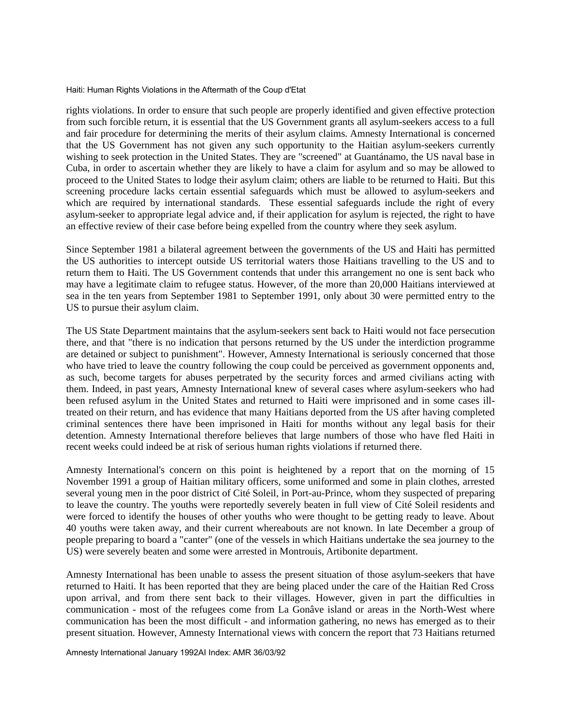rights violations. In order to ensure that such people are properly identified and given effective protection from such forcible return, it is essential that the US Government grants all asylum-seekers access to a full and fair procedure for determining the merits of their asylum claims. Amnesty International is concerned that the US Government has not given any such opportunity to the Haitian asylum-seekers currently wishing to seek protection in the United States. They are "screened" at Guantánamo, the US naval base in Cuba, in order to ascertain whether they are likely to have a claim for asylum and so may be allowed to proceed to the United States to lodge their asylum claim; others are liable to be returned to Haiti. But this screening procedure lacks certain essential safeguards which must be allowed to asylum-seekers and which are required by international standards. These essential safeguards include the right of every asylum-seeker to appropriate legal advice and, if their application for asylum is rejected, the right to have an effective review of their case before being expelled from the country where they seek asylum.

Since September 1981 a bilateral agreement between the governments of the US and Haiti has permitted the US authorities to intercept outside US territorial waters those Haitians travelling to the US and to return them to Haiti. The US Government contends that under this arrangement no one is sent back who may have a legitimate claim to refugee status. However, of the more than 20,000 Haitians interviewed at sea in the ten years from September 1981 to September 1991, only about 30 were permitted entry to the US to pursue their asylum claim.

The US State Department maintains that the asylum-seekers sent back to Haiti would not face persecution there, and that "there is no indication that persons returned by the US under the interdiction programme are detained or subject to punishment". However, Amnesty International is seriously concerned that those who have tried to leave the country following the coup could be perceived as government opponents and, as such, become targets for abuses perpetrated by the security forces and armed civilians acting with them. Indeed, in past years, Amnesty International knew of several cases where asylum-seekers who had been refused asylum in the United States and returned to Haiti were imprisoned and in some cases illtreated on their return, and has evidence that many Haitians deported from the US after having completed criminal sentences there have been imprisoned in Haiti for months without any legal basis for their detention. Amnesty International therefore believes that large numbers of those who have fled Haiti in recent weeks could indeed be at risk of serious human rights violations if returned there.

Amnesty International's concern on this point is heightened by a report that on the morning of 15 November 1991 a group of Haitian military officers, some uniformed and some in plain clothes, arrested several young men in the poor district of Cité Soleil, in Port-au-Prince, whom they suspected of preparing to leave the country. The youths were reportedly severely beaten in full view of Cité Soleil residents and were forced to identify the houses of other youths who were thought to be getting ready to leave. About 40 youths were taken away, and their current whereabouts are not known. In late December a group of people preparing to board a "canter" (one of the vessels in which Haitians undertake the sea journey to the US) were severely beaten and some were arrested in Montrouis, Artibonite department.

Amnesty International has been unable to assess the present situation of those asylum-seekers that have returned to Haiti. It has been reported that they are being placed under the care of the Haitian Red Cross upon arrival, and from there sent back to their villages. However, given in part the difficulties in communication - most of the refugees come from La Gonâve island or areas in the North-West where communication has been the most difficult - and information gathering, no news has emerged as to their present situation. However, Amnesty International views with concern the report that 73 Haitians returned